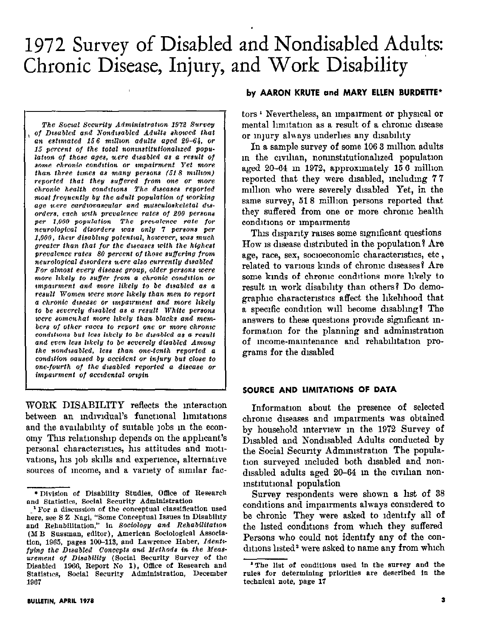# 1972 Survey of Disabled and Nondisabled Adults: Chronic Disease, Injury, and Work Disability

The Social Security Administration 1972 Survey of Disabled and Nondisabled Adults showed that an estimated 156 million adults aged 20-64, or 15 percent of the total noninstitutionalized population of those ages, uere disabled as a result of some chronic condition or impairment Yet more than three times as many persons  $(518 \text{ million})$ reported that they suffered from one or more chronic health conditions The diseases reported most frequently by the adult population of working age were cardiovascular and musculoskeletal disorders, each with prevalence rates of 200 persons per 1,000 population The prevalence rate for<br>neurological disorders was only 7 persons per 1,000, their disabling potential, however, was much greater than that for the diseases with the highest prevalence rates 80 percent of those suffering from neurological disorders were also currently disabled For almost every disease group, older persons were more likely to suffer from a chronic condition or impairment and more likely to be disabled as a result Women were more likely than men to report a chronic disease or impairment and more likely to be severely disabled as a result White persons were somenhat more likely than blacks and members of other races to report one or more chronic conditions but less likely to be disabled as a result and even less likely to be severely disabled Among the nondisabled, less than one-tenth reported a condition caused by accident or injury but close to one-fourth of the disabled reported a disease or imparrment of accidental origin

WORK DISABILITY reflects the interaction between an individual's functional limitations and the availability of suitable jobs in the economy This relationship depends on the applicant's personal characteristics, his attitudes and motivations, his job skills and experience, alternative sources of mcome, and a variety of similar fac-

#### by AARON KRUTE and MARY ELLEN BURDETTE\*

tors<sup>1</sup> Nevertheless, an impairment or physical or mental limitation as a result of a chronic disease or mury always underlies any disability

In a sample survey of some 106 3 million adults in the civilian, noninstitutionalized population aged 20-64 in 1972, approximately 156 million reported that they were disabled, including 77 million who were severely disabled Yet, in the same survey, 518 million persons reported that they suffered from one or more chronic health conditions or impairments

This disparity raises some significant questions How is disease distributed in the population? Are age, race, sex, socioeconomic characteristics, etc, related to various kinds of chronic diseases? Are some kinds of chronic conditions more likely to result in work disability than others? Do demographic characteristics affect the likelihood that a specific condition will become disabling? The answers to these questions provide significant information for the planning and administration of income-maintenance and rehabilitation programs for the disabled

#### SOURCE AND LIMITATIONS OF DATA

Information about the presence of selected chronic diseases and impairments was obtained by household interview in the 1972 Survey of Disabled and Nondisabled Adults conducted by the Social Security Administration The population surveyed included both disabled and nondisabled adults aged 20-64 in the civilian noninstitutional population

Survey respondents were shown a list of 38 conditions and impairments always considered to be chronic They were asked to identify all of the listed conditions from which they suffered Persons who could not identify any of the conditions listed<sup>2</sup> were asked to name any from which

<sup>\*</sup> Division of Disability Studies, Office of Research and Statistics, Social Security Administration

<sup>&</sup>lt;sup>1</sup> For a discussion of the conceptual classification used here, see S Z Nagi, "Some Conceptual Issues in Disability and Rehabilitation," in Sociology and Rehabilitation (M B Sussman, editor), American Sociological Association, 1965, pages 100-113, and Lawrence Haber, Identifying the Disabled Concepts and Methods in the Measurement of Disability (Social Security Survey of the Disabled 1966, Report No 1), Office of Research and Statistics, Social Security Administration, December 1967

<sup>&</sup>lt;sup>2</sup> The list of conditions used in the survey and the rules for determining priorities are described in the technical note, page 17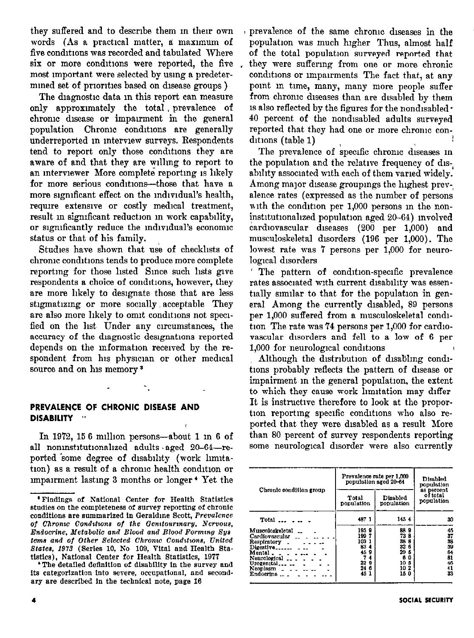they suffered and to describe them in their own a prevalence of the same chronic diseases in the words (As a practical matter, a maximum of population was much higher Thus, almost half five conditions was recorded and tabulated Where of the total population surveyed reported that six or more conditions were reported, the five most nnportant were selected by usmg a predetermmed set of priorities based on disease groups)

The diagnostic data in this report can measure only approximately the total , prevalence of chrome dnease or impairment in the general population Chronic conditions are generally underreported m mtervlew surveys. Respondents tend to report only those conditions they are aware of and that they are wllmg to report to an mterwewer More complete reportmg 1s hkely for more serious conditions-those that have a more significant effect on the individual's health, require extensive or costly medical treatment, result m sigmficant reduction m work capability, or significantly reduce the individual's economic status or that of his family.

Studies have shown that use of checkhsts of chrome condltlons tends to produce more complete reporting for those listed Since such lists give respondents a choice of conditions, however, they are more likely to designate those that are less stigmatizing or more socially acceptable They are also more likely to omit conditions not specified on the list Under any circumstances, the accuracy of the diagnostic designations reported depends on the information received by the respondent from his physician or other medical source and on his memory<sup>3</sup>

## PREVALENCE OF CHRONIC DISEASE AND DISABILITY "

In 1972, 15 6 million persons-about 1 in 6 of all noninstitutionalized adults aged 20-64-reported some degree of disability (work limitation) as a result of a chronic health condition or unparment lastmg 3 months or longer' Yet the

-\*

population was much higher Thus, almost half they were suffering from one or more chronic conditions or impairments The fact that, at any pomt m time, many, many more people suffer from chrome diseases than are disabled by them 1s also reflected by the figures for the nondisabled  $\cdot$ 40 percent of the nondisabled adults surveyed reported that they had one or more chrome conditions (table 1)

The prevalence of specific chronic diseases in the population and the relative frequency of disability associated with each of them varied widely. Among major disease groupings the highest prevalence rates (expressed as the number of persons with the condition per 1,000 persons in the noninstitutionalized population aged 20-64) involved cardiovascular diseases (200 per 1,000) and musculoskeletal disorders (196 per 1,000). The lowest rate was 7 persons per 1,000 for neurological disorders

The pattern of condition-specific prevalence rates associated with current dlsablhty was essentially similar to that for the population in general Among the currently disabled, 89 persons per 1,000 suffered from a musculoskeletal condition The rate was 74 persons per 1,000 for cardiovascular disorders and fell to a low of 6 per 1,000 for neurological condltlons

Although the distribution of disabling conditions probably reflects the pattern of disease or impairment m the general population, the extent to which they cause work limitation may differ It is instructive therefore to look at the proportion reporting specific conditions who also reported that they were disabled as a result More than 80 percent of survey respondents reporting some neurological disorder were also currently

| Chronic condition group                                                                                                                                                                         | Prevalence rate per 1,000<br>population aged 20-64                    | Disabled<br>population<br>as percent                                           |                                                    |  |
|-------------------------------------------------------------------------------------------------------------------------------------------------------------------------------------------------|-----------------------------------------------------------------------|--------------------------------------------------------------------------------|----------------------------------------------------|--|
|                                                                                                                                                                                                 | Total<br>population                                                   | Disabled<br>population                                                         | of total<br>population                             |  |
| $Total \t - \t -$                                                                                                                                                                               | 487 1                                                                 | 1454                                                                           | 30                                                 |  |
| Musculoskeletal<br>Cardiovascular<br>Respiratory.<br>$Dieestive$ <sub>------</sub><br>Mental ____<br>Neurological $\ldots$ .<br>Urogenital<br>Neoplasm $\sim$ $\sim$ $\sim$ $\sim$<br>Endocrine | 1959<br>1997<br>103 1<br>834<br>45 9<br>7<br>4<br>229<br>24 6<br>45 1 | 889<br>73 8<br>38 8<br>32 6<br>29 5<br>6<br>0<br>10 <sub>5</sub><br>102<br>150 | 45<br>37<br>33<br>39<br>64<br>81<br>46<br>41<br>33 |  |

<sup>&#</sup>x27;Findings of National Center ior Health Statistics studies on the completeness of survey reporting of chronic conditions are summarized in Geraldme Scott, Prevalence of Chronic Conditions of the Genitourinary, Nervous, Endocrine, Metabolic and Blood and Blood Forming Sys tems and of Other Selected Chronic Conditions, United States, 1973 (Series 10, No 109, Vital and Health Statistics). National Center for Health Statistics, 1977

<sup>\*</sup> The detailed definition of disability in the survey and its categorization into severe, occupational, and secondary are described in the technical note, page 16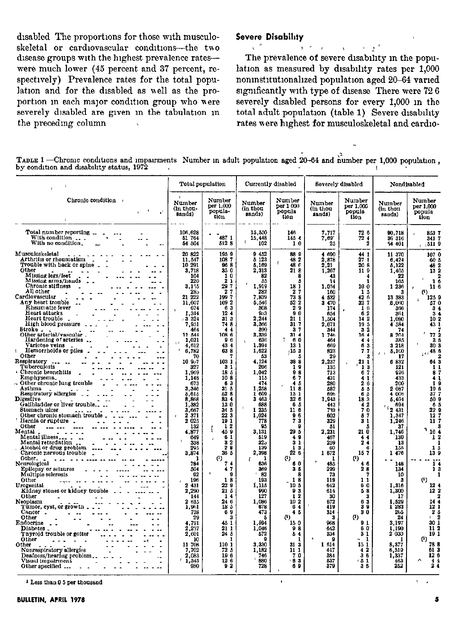disabled The proportions for those with musculoskeletal or cardiovascular conditions-the two disease groups with the highest prevalence rates-were much lower (45 percent and 37 percent, respectively) Prevalence rates for the total population and for the disabled as well as the proportion in each major condition group who were severely disabled are gwen m the tabulation m the preceding column

#### Severe Disabihty

# $x^* = x^* + x^* + y^* + z^*$

The prevalence of severe dlsablhty m the population as measured by disability rates per 1,000 noninstitutionalized population aged 20-64 varied significantly with type of disease There were  $726$ severely disabled persons for every 1,000 m the total adult population (table 1) Severe disability rates were highest for musculoskeletal and cardio-

TABLE 1 -Chronic conditions and impairments Number in adult population aged 20-64 and number per 1,000 population, by condition and disability status. 1972 compared with the condition  $\ell$  condition and disability status. 1972

|                                                                                                                                                                                                                                                                                                                                                                                                                                                                                                                                                                                                                                                                                                                                                                                                                                                                                                                                                                                                                                                                                                                                            | Total population                                                                                                                                                                                                                                                                                                                                                                                                                                                                   |                                                                                                                                                                                                                                                                                                                                                                                                                                                                               | Currently disabled                                                                                                                                                                                                                                                                                                                                                                                                                                                    |                                                                                                                                                                                                                                                                                                                                                                                                                                                        | Severely disabled                                                                                                                                                                                                                                                                                                                                                                                                                             |                                                                                                                                                                                                                                                                                                                                                                                                    | Nondisabled                                                                                                                                                                                                                                                                                                                                                                                                                                             |                                                                                                                                                                                                                                                                                                                                                                                                                                   |
|--------------------------------------------------------------------------------------------------------------------------------------------------------------------------------------------------------------------------------------------------------------------------------------------------------------------------------------------------------------------------------------------------------------------------------------------------------------------------------------------------------------------------------------------------------------------------------------------------------------------------------------------------------------------------------------------------------------------------------------------------------------------------------------------------------------------------------------------------------------------------------------------------------------------------------------------------------------------------------------------------------------------------------------------------------------------------------------------------------------------------------------------|------------------------------------------------------------------------------------------------------------------------------------------------------------------------------------------------------------------------------------------------------------------------------------------------------------------------------------------------------------------------------------------------------------------------------------------------------------------------------------|-------------------------------------------------------------------------------------------------------------------------------------------------------------------------------------------------------------------------------------------------------------------------------------------------------------------------------------------------------------------------------------------------------------------------------------------------------------------------------|-----------------------------------------------------------------------------------------------------------------------------------------------------------------------------------------------------------------------------------------------------------------------------------------------------------------------------------------------------------------------------------------------------------------------------------------------------------------------|--------------------------------------------------------------------------------------------------------------------------------------------------------------------------------------------------------------------------------------------------------------------------------------------------------------------------------------------------------------------------------------------------------------------------------------------------------|-----------------------------------------------------------------------------------------------------------------------------------------------------------------------------------------------------------------------------------------------------------------------------------------------------------------------------------------------------------------------------------------------------------------------------------------------|----------------------------------------------------------------------------------------------------------------------------------------------------------------------------------------------------------------------------------------------------------------------------------------------------------------------------------------------------------------------------------------------------|---------------------------------------------------------------------------------------------------------------------------------------------------------------------------------------------------------------------------------------------------------------------------------------------------------------------------------------------------------------------------------------------------------------------------------------------------------|-----------------------------------------------------------------------------------------------------------------------------------------------------------------------------------------------------------------------------------------------------------------------------------------------------------------------------------------------------------------------------------------------------------------------------------|
| Chronic condition                                                                                                                                                                                                                                                                                                                                                                                                                                                                                                                                                                                                                                                                                                                                                                                                                                                                                                                                                                                                                                                                                                                          | Number<br>(in thou-<br>sands)                                                                                                                                                                                                                                                                                                                                                                                                                                                      | Number<br>per 1,000<br>popula-<br>tion                                                                                                                                                                                                                                                                                                                                                                                                                                        | Number<br>(in thou<br>sands)                                                                                                                                                                                                                                                                                                                                                                                                                                          | Number<br>per 1 000<br>popula<br>tion                                                                                                                                                                                                                                                                                                                                                                                                                  | Number<br>(in thou<br>sands)                                                                                                                                                                                                                                                                                                                                                                                                                  | Number<br>per 1,000<br>popula<br>tion                                                                                                                                                                                                                                                                                                                                                              | Number<br>(in thou<br>sands)                                                                                                                                                                                                                                                                                                                                                                                                                            | Number<br>per 1,000<br>popula<br>tion                                                                                                                                                                                                                                                                                                                                                                                             |
| Total number reporting _<br>With condition $\overline{\phantom{a}}$ .<br>With no condition.                                                                                                                                                                                                                                                                                                                                                                                                                                                                                                                                                                                                                                                                                                                                                                                                                                                                                                                                                                                                                                                | 106,628<br>51 764<br>54 504                                                                                                                                                                                                                                                                                                                                                                                                                                                        | 487 1<br>512 S                                                                                                                                                                                                                                                                                                                                                                                                                                                                | 15,550<br>15,448<br>102                                                                                                                                                                                                                                                                                                                                                                                                                                               | 146<br>145 4<br>10                                                                                                                                                                                                                                                                                                                                                                                                                                     | 7.717<br>7,69<br>25                                                                                                                                                                                                                                                                                                                                                                                                                           | 72 6<br>724<br>$\overline{2}$                                                                                                                                                                                                                                                                                                                                                                      | 90.718<br>36 316<br>54 401                                                                                                                                                                                                                                                                                                                                                                                                                              | 8537<br>341 7<br>, 5119                                                                                                                                                                                                                                                                                                                                                                                                           |
| Musculoskeletal<br>Arthritis or rheumatism<br>Trouble with back or spine.<br>Other<br>Missing legs/feet<br>Missing arms/hands<br>Chronic stiffness<br>All other<br>Cardiovascular<br>Any heart trouble<br>Rheumatic fever<br>Heart attacks<br>Heart trouble<br>High blood pressure ___<br>Stroke.<br>Other arterial/vascular.<br>Hardening of arteries<br>Varicose veins<br>Hemorrhoids or piles<br>ş.<br>Other<br>Respiratory<br>Tuberculosis<br>Chronic bronchitis<br>Emphysems.<br>Other chronic lung trouble<br>Asthma<br>Respiratory allergies __<br><b>Digestive</b><br>Gallbladder or liver trouble<br>Stomach ulcer<br>Other chronic stomach trouble.<br>Hernia or rupture.<br>Other<br>Mental<br>Mental illness.<br>Mental retardation<br>Alcohol or drug problem<br>Chronic nervous trouble<br>Other.<br>Neurological<br>Epilepsy or seizures<br>Multiple sclerosis<br>Other<br>Urogenital<br>Kidney stones or kidney trouble<br>Other<br>Neoplasm<br>Tumor, cyst, or growth<br>Cancer<br>Other<br>Endocrine<br>Diabetes _<br>Thyroid trouble or goiter<br>Other<br>Other<br>Nonrespiratory allergies<br>Deamess/hearing problem | 20 822<br>11,547<br>10 291<br>3.718<br>104<br>220<br>3.155<br>28э<br>222<br>21<br>11.607<br>674<br>1,314<br>3 3 2 4<br>7.951<br>464<br>11 544<br>1,021<br>4,612<br>6,782<br>70<br>10 957<br>327<br>1.969<br>1.148<br>673<br>3.346<br>5.615<br>8.868<br>1,382<br>3,667<br>2371<br>2025<br>132<br>4.877<br>649<br>338<br>295<br>3,874<br>784<br>504<br>92<br>196<br>2 431<br>2.290<br>144<br>2615<br>1,961<br>738<br>29<br>4.791<br>2,237<br>2.601<br>10<br>11 708<br>7,702<br>2.083 | 1959<br>1087<br>96 8<br>350<br>$\mathbf{1}$<br>0<br>2<br>1<br>29<br>7<br>2<br>7<br>1997<br>1092<br>63<br>12.4<br>313<br>74 8<br>4<br>$\ddot{\bf{4}}$<br>1086<br>96<br>434<br>638<br>103 1<br>31<br>18 <sub>5</sub><br>10S<br>63<br>31 <sub>5</sub><br>528<br>83 4<br>130<br>34 S<br>22 3<br>ī9 I<br>12<br>459<br>61<br>32<br>28<br>36 5<br>(1)<br>7<br>4<br>47<br>g<br>18<br>22 9<br>215<br>14<br>24 6<br>185<br>69<br>а<br>45 1<br>21 1<br>24 5<br>ł<br>110 1<br>72 5<br>196 | 9 452<br>5123<br>5.169<br>2,313<br>82<br>65<br>1.919<br>282<br>7.839<br>5.546<br>308<br>953<br>2.244<br>3.366<br>890<br>3,339<br>636<br>1.394<br>1,622<br>53<br>4.124<br>206<br>1.042<br>115<br>474<br>1.258<br>1 609<br>3 463<br>688<br>1 235<br>1,024<br>773<br>95<br>3.131<br>519<br>325<br>139<br>2,398<br>п<br>f<br>636<br>369<br>$\mathbf{r}$<br>82<br>193<br>1.115<br>990<br>127<br>1,086<br>678<br>473<br>Б<br>1.594<br>1,046<br>572<br>3,330<br>1,182<br>746 | 889<br>48 2<br>f<br>48<br>€<br>21<br>я<br>R<br>л<br>18<br>1<br>2<br>7<br>73 8<br>522<br>29<br>90<br>21 L<br>31 7<br>3 <sub>7</sub><br>31.4<br>60<br>13 1<br>:153<br>38 8<br>19<br>98<br>6<br>7<br>45<br>113<br>15 1<br>32 6<br>65<br>11 6<br>96<br>73<br>ō<br>29 5<br>49<br>31<br>13<br>22 6<br>0<br>60<br>з<br>5<br>я<br>18<br>10 <sub>5</sub><br>93<br>12<br>102<br>6<br>4<br>45<br>$\left( 1\right)$<br>15 0<br>98<br>54<br>1<br>31 3<br>11 1<br>70 | 4690<br>2,878<br>2,21<br>1,267<br>43<br>14<br>1.034<br>160<br>4 532<br>3 4 7 0<br>174<br>654<br>1,504<br>2,071<br>344<br>1 746<br>464<br>669<br>823<br>29<br>2,237<br>135<br>713<br>431<br>280<br>532<br>696<br>1,943<br>443<br>739<br>602<br>329<br>51<br>2,231<br>467<br>259<br>60<br>1672<br>T<br>485<br>299<br>73<br>119<br>642<br>614<br>30<br>672<br>419<br>314<br>з<br>968<br>642<br>334<br>$\pmb{\lambda}$<br>9<br>1614<br>447<br>334 | 44 1<br>271<br>208<br>119<br>1.<br>100<br>15<br>42 6<br>32.7<br>1<br>6<br>62<br>14 2<br>195<br>3 <sub>2</sub><br>164<br>44<br>63<br>77<br>3<br>21<br>1<br>1<br>3<br>67<br>41<br>26<br>55<br>65<br>183<br>42<br>70<br>57<br>31<br>л<br>21 0<br>44<br>24<br>А<br>157<br>0<br>46<br>28<br>11<br>60<br>58<br>3<br>63<br>9<br>3<br>30<br>$^{\left(1\right)}$<br>91<br>60<br>31<br>1<br>15 1<br>42<br>36 | 11 370<br>6,424<br>5.122<br>1,405<br>22<br>165<br>1 236<br>а<br>13 383<br>6,060<br>366<br>361<br>1.080<br>4 584<br>74<br>8 204<br>385<br>3 218<br>5,100<br>17<br>6 832<br>121<br>926<br>433<br>200<br>2 087<br>4 006<br>5.404<br>694<br>$162$ 431<br>1.347<br>1.246<br>37<br>1,746<br>130<br>13<br>155<br>1 476<br>148<br>134<br>10<br>з<br>1.316<br>1.300<br>17<br>1.529<br>1 283<br>265<br>24<br>3,197<br>1,190<br>2 030<br>8.377<br>6,519<br>1 3 3 7 | 107 0<br>60 8<br>48.2<br>13<br>2<br>1<br>C<br>11 <sub>6</sub><br>O<br>125<br>57<br>3<br>$\bf{3}$<br>10<br>43.<br>77<br>3<br>30<br>10,48<br>64<br>1<br>8<br>4<br>1<br>19<br>37<br>50<br>6<br>22<br>12<br>11<br>16<br>$\mathbf{1}$<br>1<br>139<br>1<br>1<br>я<br>$\mathbf{a}$<br>12<br>12<br>9<br>14<br>12<br>1<br>$\boldsymbol{2}$<br>ð<br>2<br>T.<br>30 <sub>1</sub><br>11 <sub>2</sub><br>19 1<br>$^{(1)}$<br>78 8<br>613<br>126 |

<sup>1</sup> Less than 0 5 per thousand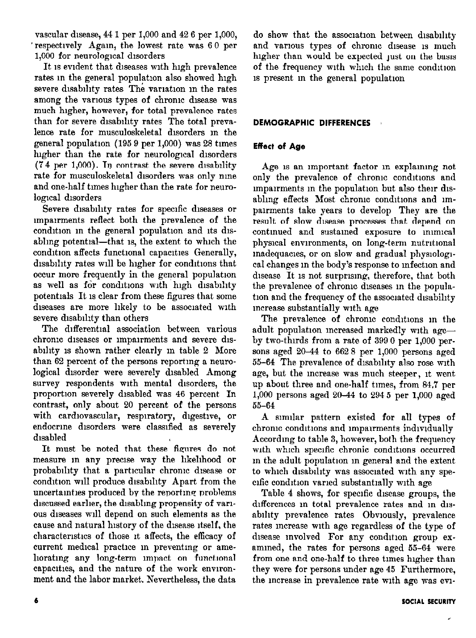vascular disease,  $44 1$  per 1,000 and  $42 6$  per 1,000, ' respectively Again, the lowest rate was 60 per 1,000 for neurological disorders

It is evident that diseases with high prevalence rates in the general population also showed high severe disability rates The variation in the rates among the various types of chronic disease was much higher, however, for total prevalence rates than for severe disability rates The total prevalence rate for musculoskeletal disorders m the general population (195 9 per 1,000) was 28 tunes higher than the rate for neurological disorders  $(74 \text{ per } 1,000)$ . In contrast the severe disability rate for musculoskeletal disorders was only nine and one-half times lugher than the rate for neurological disorders

Severe disability rates for specific diseases or impairments reflect both the prevalence of the condition in the general population and its disabling potential-that is, the extent to which the condition affects functional capacities Generally, disability rates will be higher for conditions that occur more frequently in the general population as well as for conditions with high disability potenttals It 1s clear from these figures that some diseases are more likely to be associated with severe disability than others

The differential association between various chrome diseases or impairments and severe disability is shown rather clearly in table 2 More than 62 percent of the persons reportmg a neurological disorder were severely disabled Among survey respondents with mental disorders, the proportion severely disabled was 46 percent In contrast, only about 20 percent of the persons with cardiovascular, respiratory, digestive, or endocrine disorders were classified as severely disabled

It must be noted that these figures do not measure in any precise way the likelihood or probability that a particular chrome disease or condition will produce disability Apart from the uncertainties produced by the reporting problems discussed earlier, the disabling propensity of various diseases will depend on such elements as the cause and natural history of the disease itself, the characteristics of those it affects, the efficacy of current medical practice in preventing or ameliorating any long-term impact on functional capacities, and the nature of the work environment and the labor market. Nevertheless, the data

do show that the association between disability and various types of chronic disease is much higher than would be expected just on the basis of the frequency with which the same condition IS present m the general population

# DEMOGRAPHIC DIFFERENCES

# Effect of Age

Age is an important factor in explaining not only the prevalence of chronic conditions and impairments in the population but also their disabling effects Most chronic conditions and impairments take years to develop They are the result of slow disease processes that depend on contmued and sustamed exposure to mmncal physical environments, on long-term nutritional madequacies, or on slow and gradual physiological changes in the body's response to infection and disease It is not surprising, therefore, that both the prevalence of chronic diseases in the population and the frequency of the associated disability mcrease substantially wth age

The prevalence of chronic conditions in the adult population increased markedly with ageby two-thirds from a rate of  $3990$  per  $1,000$  persons aged 20-44 to 662 8 per 1,000 persons aged 55-64 The prevalence of disability also rose with age, but the increase was much steeper, it went up about three and one-half times, from 84.7 per 1,000 persons aged 20-44 to 294 5 per 1,000 aged 55-64

A snmlar pattern existed for all types of chronic conditions and impairments individually According to table 3, however, both the frequency with which specific chronic conditions occurred m the adult population m general and the extent to which disability was associated with any specific condition varied substantially with age

Table 4 shows, for specific disease groups, the differences in total prevalence rates and in disability prevalence rates Obviously, prevalence rates mcrease wth age regardless of the type of disease involved For any condition group examined, the rates for persons aged 55-64 were from one and one-half to three times higher than they were for persons under age 45 Furthermore, the mcrease in prevalence rate with age was ew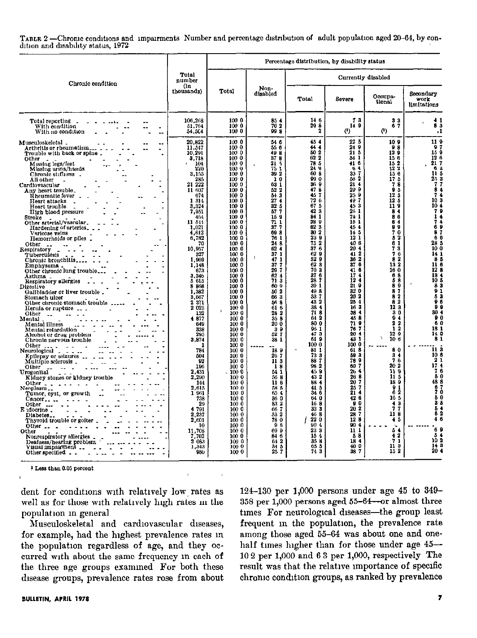TABLE 2-Chronic conditions and impairments Number and percentage distribution of adult population aged 20-64, by condition and disability status, 1972

|                                                                                                                                                                                                                                                                                                                                                                                                                                                                                                                                                                                                                                                                                                                                                                                                                                                                                                                                                                                                                                                                                                                                                                                                                                                                                                                                                                            |                                                                                                                                                                                                                                                                                                                                                                                                                                                                                                                                       |                                                                                                                                                                                                                                                                                                                                                                                                                                                                                                                              | Percentage distribution, by disability status                                                                                                                                                                                                                                                                                                                                                                                                                                                                                                  |                                                                                                                                                                                                                                                                                                                                                                                                                                                                                  |                                                                                                                                                                                                                                                                                                                                                                                                                                                                                        |                                                                                                                                                                                                                                                                                                                                                                                                                                                                                  |                                                                                                                                                                                                                                                                                                                                                                                                                                                                                                                                                     |
|----------------------------------------------------------------------------------------------------------------------------------------------------------------------------------------------------------------------------------------------------------------------------------------------------------------------------------------------------------------------------------------------------------------------------------------------------------------------------------------------------------------------------------------------------------------------------------------------------------------------------------------------------------------------------------------------------------------------------------------------------------------------------------------------------------------------------------------------------------------------------------------------------------------------------------------------------------------------------------------------------------------------------------------------------------------------------------------------------------------------------------------------------------------------------------------------------------------------------------------------------------------------------------------------------------------------------------------------------------------------------|---------------------------------------------------------------------------------------------------------------------------------------------------------------------------------------------------------------------------------------------------------------------------------------------------------------------------------------------------------------------------------------------------------------------------------------------------------------------------------------------------------------------------------------|------------------------------------------------------------------------------------------------------------------------------------------------------------------------------------------------------------------------------------------------------------------------------------------------------------------------------------------------------------------------------------------------------------------------------------------------------------------------------------------------------------------------------|------------------------------------------------------------------------------------------------------------------------------------------------------------------------------------------------------------------------------------------------------------------------------------------------------------------------------------------------------------------------------------------------------------------------------------------------------------------------------------------------------------------------------------------------|----------------------------------------------------------------------------------------------------------------------------------------------------------------------------------------------------------------------------------------------------------------------------------------------------------------------------------------------------------------------------------------------------------------------------------------------------------------------------------|----------------------------------------------------------------------------------------------------------------------------------------------------------------------------------------------------------------------------------------------------------------------------------------------------------------------------------------------------------------------------------------------------------------------------------------------------------------------------------------|----------------------------------------------------------------------------------------------------------------------------------------------------------------------------------------------------------------------------------------------------------------------------------------------------------------------------------------------------------------------------------------------------------------------------------------------------------------------------------|-----------------------------------------------------------------------------------------------------------------------------------------------------------------------------------------------------------------------------------------------------------------------------------------------------------------------------------------------------------------------------------------------------------------------------------------------------------------------------------------------------------------------------------------------------|
| Chronic condition                                                                                                                                                                                                                                                                                                                                                                                                                                                                                                                                                                                                                                                                                                                                                                                                                                                                                                                                                                                                                                                                                                                                                                                                                                                                                                                                                          | Total<br>number                                                                                                                                                                                                                                                                                                                                                                                                                                                                                                                       |                                                                                                                                                                                                                                                                                                                                                                                                                                                                                                                              |                                                                                                                                                                                                                                                                                                                                                                                                                                                                                                                                                |                                                                                                                                                                                                                                                                                                                                                                                                                                                                                  |                                                                                                                                                                                                                                                                                                                                                                                                                                                                                        | Currently disabled                                                                                                                                                                                                                                                                                                                                                                                                                                                               |                                                                                                                                                                                                                                                                                                                                                                                                                                                                                                                                                     |
|                                                                                                                                                                                                                                                                                                                                                                                                                                                                                                                                                                                                                                                                                                                                                                                                                                                                                                                                                                                                                                                                                                                                                                                                                                                                                                                                                                            | (in<br>thousands)                                                                                                                                                                                                                                                                                                                                                                                                                                                                                                                     | Total                                                                                                                                                                                                                                                                                                                                                                                                                                                                                                                        | Non-<br>disabled                                                                                                                                                                                                                                                                                                                                                                                                                                                                                                                               | Total                                                                                                                                                                                                                                                                                                                                                                                                                                                                            | Severe                                                                                                                                                                                                                                                                                                                                                                                                                                                                                 | Occupa-<br>tional                                                                                                                                                                                                                                                                                                                                                                                                                                                                | Secondary<br>work<br>limitations                                                                                                                                                                                                                                                                                                                                                                                                                                                                                                                    |
| Total reporting _<br>With condition<br>٠<br>With no condition                                                                                                                                                                                                                                                                                                                                                                                                                                                                                                                                                                                                                                                                                                                                                                                                                                                                                                                                                                                                                                                                                                                                                                                                                                                                                                              | 106.268<br>51.764<br>54,564                                                                                                                                                                                                                                                                                                                                                                                                                                                                                                           | 100 0<br>100 0<br>1000                                                                                                                                                                                                                                                                                                                                                                                                                                                                                                       | 854<br>70 2<br>99 S                                                                                                                                                                                                                                                                                                                                                                                                                                                                                                                            | 14 6<br>298<br>2                                                                                                                                                                                                                                                                                                                                                                                                                                                                 | 73<br>14 9<br>$\langle \cdot \rangle$                                                                                                                                                                                                                                                                                                                                                                                                                                                  | 33<br>67<br>$\left( 0\right)$                                                                                                                                                                                                                                                                                                                                                                                                                                                    | 83<br>1،                                                                                                                                                                                                                                                                                                                                                                                                                                                                                                                                            |
| Musculoskeletsl .<br>--<br>Arthritis or rheumatism<br>Trouble with back or spine.<br>Other<br>Missing legs/feet<br>Missing arms/hands<br>Chronic stiffness .<br>All other<br>Cardiovascular<br>Any heart trouble.<br>Rheumatic fever .<br>Heart attacks<br>Heart trouble<br>High blood pressure<br>Stroke<br>Other arterial/vascular.<br>Hardening of arteries<br>Varicose veins<br>Hemorrhoids or piles.<br>Other<br>$\scriptstyle\star\,\star$<br>Respiratory _<br>Tuberculosis<br>Chronic bronchitis<br>Emphysema.<br>Asthma<br>Astnma<br>Respiratory silergies<br>Digestive<br>Gallbladder or liver trouble.<br>Stomach ulcer<br>Other chronic stomach trouble<br>Hernia or rupture $\sim$ $\sim$<br>Other<br>$\sim$<br>Mental<br>Mental illness<br>Mention minor<br>Mental retardation<br>Alcohol or drug problem<br>Alcohol provincial trouble<br>Chronic nervous trouble<br>Other $\ldots$ .<br>Neurological .<br>Epilepsy or seizures $\ldots$ $\ldots$ $\ldots$<br>Multiple sclerosis<br>Other<br>Urogenital<br>rogenital<br>Kidney stones or kidney trouble<br>Other $       -$<br>Neoplasm<br>Tumor, cyst, or growth<br>$Cancer_{n+1}$<br>Other $\cdots$ $\cdots$<br>E idocrine.<br>Diabetes<br>Thyroid trouble or goiter<br>Other $\ldots$ $\ldots$ $\ldots$ $\ldots$<br>Other<br>Nonrespiratory allergies _<br>Nonrespiratory allergies<br>Other specified __ | 20.822<br>11 547<br>10,291<br>3,718<br>104<br>220<br>3,155<br>28.5<br>21 222<br>11 607<br>674<br>1 314<br>3,324<br>7.951<br>464<br>11 544<br>1.021<br>4.612<br>6,782<br>70<br>10.957<br>327<br>1.969<br>1,148<br>673<br>3.346<br>5615<br>8 868<br>1,382<br>3.667<br>2 371<br>2 0 2 5<br>132<br>4877<br>649<br>338<br>29.5<br>3,874<br>1<br>784<br>504<br>92<br>196<br>2,431<br>2,290<br>144<br>2,615<br>1961<br>733<br>29<br>4 791<br>2.237<br>2.601<br>10<br>11,708<br>$\begin{array}{c} 7.702 \\ 2.083 \end{array}$<br>1,343<br>980 | 100 0<br>100 0<br>100 0<br>100 0<br>100 0<br>100-0<br>100 0<br>100 0<br>100 0<br>100 0<br>100 0<br>1000<br>100 0<br>1000<br>100 0<br>1000<br>100 0<br>100 0<br>1000<br>100 0<br>100 0<br>100 0<br>100 0<br>1000<br>1000<br>100 0<br>1000<br>1000<br>1000<br>100 0<br>1000<br>1000<br>1000<br>1000<br>100 0<br>100 0<br>1000<br>1000<br>1000<br>100 0<br>1000<br>100 0<br>100 0<br>$-1000$<br>100 0<br>100 0<br>100 0<br>1000<br>100 0<br>1000<br>100 0<br>100 0<br>100 0<br>100.0.<br>100 0<br>100 0<br>1000<br>1000<br>1000 | 54 6<br>556<br>49 B<br>37 <sub>8</sub><br>$21 - 5$<br>75 1<br>39 2<br>10<br>63 1<br>522<br>513<br>27<br>$\blacktriangleleft$<br>32 <sub>5</sub><br>57<br>7<br>159<br>71 1<br>37<br>7<br>698<br>76 1<br>24 8<br>62<br>4<br>37 <sub>1</sub><br>$\mathfrak t$<br>47 1<br>377<br>297<br>624<br>713<br>609<br>50 2<br>663<br>568<br>616<br>282<br>35B<br>200<br>39<br>527<br>33 1<br>189<br>26 7<br>$\overline{11}$ 3<br>18<br>64 L<br>56 8<br>116<br>58 5<br>65 4<br>36 0<br>832<br>667<br>53 2<br>78 0<br>96<br>699<br>84 6<br>642<br>34 S<br>257 | 454<br>44 4<br>50 2<br>022<br>78 5<br>24 9<br>60 8<br>990<br>36 O<br>47<br>8<br>457<br>72 6<br>67 <sub>5</sub><br>423<br>84 1<br>28 0<br>62 3<br>302<br>23 D<br>75 2<br>376<br>62 9<br>52 9<br>62 3<br>703<br>87<br>6<br>28<br>7<br>39<br>1<br>498<br>33 7<br>43 2<br>38 4<br>718<br>642<br>800<br>96 1<br>47 3<br>619<br>1000<br>811<br>73 3<br>887<br>982<br>459<br>432<br>884<br>415<br>34 6<br>64 0<br>168<br>333<br>468<br>22 0<br>904<br>23 3<br>154<br>358<br>65 5<br>743 | $22\,5$<br>24 9<br>215<br>34 <sup>1</sup><br>41 6<br>64<br>337<br>562<br>21.4<br>29 9<br>259<br>49 7<br>453<br>26 1<br>74 1<br>15 1<br>454<br>14 5<br>12 1<br>40 6<br>20 <sub>4</sub><br>412<br>362<br>376<br>41 6<br>17.4<br>124<br>219<br>320<br>20 <sub>2</sub><br>254<br>163<br>384<br>45 8<br>719<br>767<br>20.4<br>43 1<br>100 0<br>618<br>593<br>789<br>60 7<br>264<br>268<br>20 7<br>25 7<br>214<br>426<br>90<br>202<br>28 7<br>123<br>904<br>11 1<br>58<br>184<br>400<br>38 7 | 109<br>98<br>12 9<br>156<br>152<br>$12^{2}$<br>15 6<br>175<br>78<br>95<br>12 <sub>5</sub><br>125<br>119<br>84<br>86<br>64<br>99<br>70<br>52<br>61<br>73<br>76<br>82<br>132<br>16 0<br>68<br>58<br>89<br>8 <sub>7</sub><br>8 <sup>2</sup><br>82<br>123<br>$\bar{3}0$<br>94<br>22<br>12<br>$12\,9$<br>106<br>80<br>3 <sub>4</sub><br>76<br>202<br>119<br>11 <sub>5</sub><br>189<br>91<br>62<br>16 5<br>43<br>77<br>118<br>45<br>$\epsilon_{\rm m}$<br>54<br>42<br>71<br>113<br>152 | 119<br>97<br>159<br>12 <sub>0</sub><br>217<br>63<br>11 <sub>5</sub><br>2.3<br>7784<br>103<br>10.4<br>$7944$<br>$7449$<br>87<br>66<br>28 5<br>10 0<br>14 1<br>85<br>11<br>6<br>12 <sub>0</sub><br>134<br>$\begin{smallmatrix} 10 & 5 \\ 8 & 3 \\ 9 & 1 \end{smallmatrix}$<br>53<br>96<br>ŌÕ.<br>30 <sub>4</sub><br>ΫŌ<br>60<br>18 1<br>14 0<br>81<br>113<br>10 6<br>21<br>$\overline{\mathbf{4}}$<br>17<br>$\frac{7}{5}$ $\frac{6}{0}$<br>48.8<br>$\frac{8}{7}$<br>δ0<br>35<br>54<br>62<br>$4\overline{6}$<br>9<br>6<br>5<br>4<br>102<br>143<br>20.4 |

<sup>1</sup> Less than 0.05 percent

dent for conditions with relatively low, rates as well as for those with relatwely high rates m the population m general

Musculoskeletal and cardiovascular diseases, for example, had the highest prevalence rates in the population regardless of age, and they occurred with about the same frequency m each of the three age groups exammed For both these disease groups, prevalence rates rose from about

124-130 per 1,000 persons under age 45 to 349- 358 per 1,000 persons aged 55-64-or almost three times For neurological diseases-the group least frequent m the population, the prevalence rate among those aged 55-64 was about one and onehalf times higher than for those under age  $45-$ 10 2 per 1,000 and 6 3 per 1,000, respectively The result was that the relative importance of specific chrome condition groups, as ranked by prevalence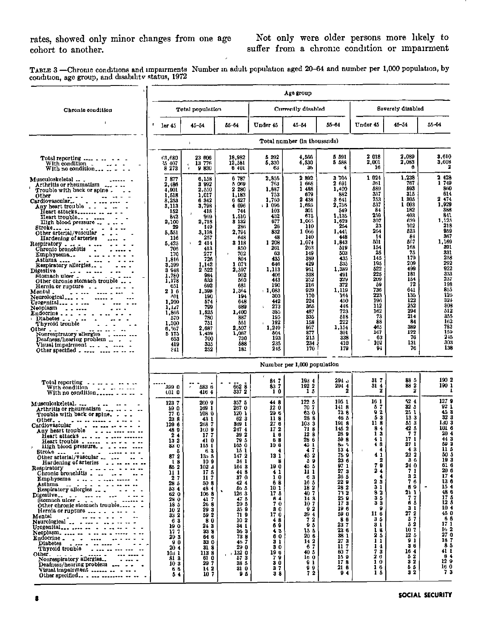TABLE 3 —Chrome conditions and impairments Number in adult population aged 20–64 and number per 1,000 population, by condition, age group, and disability status, 1972

|                                                                                                                                                                                                                                                                                                                                                                                                                                                                                                                                                                                                                                                                                                                                                       |                                                                                                                                                                                                                                                                                                            |                                                                                                                                                                                                                                                                                                            |                                                                                                                                                                                                                                                                                         |                                                                                                                                                                                                                                                             | Age group                                                                                                                                                                                                                                           |                                                                                                                                                                                                                                                                                                          |                                                                                                                                                                                                                                           |                                                                                                                                                                                                                                                                                               |                                                                                                                                                                                                                                                                                                     |
|-------------------------------------------------------------------------------------------------------------------------------------------------------------------------------------------------------------------------------------------------------------------------------------------------------------------------------------------------------------------------------------------------------------------------------------------------------------------------------------------------------------------------------------------------------------------------------------------------------------------------------------------------------------------------------------------------------------------------------------------------------|------------------------------------------------------------------------------------------------------------------------------------------------------------------------------------------------------------------------------------------------------------------------------------------------------------|------------------------------------------------------------------------------------------------------------------------------------------------------------------------------------------------------------------------------------------------------------------------------------------------------------|-----------------------------------------------------------------------------------------------------------------------------------------------------------------------------------------------------------------------------------------------------------------------------------------|-------------------------------------------------------------------------------------------------------------------------------------------------------------------------------------------------------------------------------------------------------------|-----------------------------------------------------------------------------------------------------------------------------------------------------------------------------------------------------------------------------------------------------|----------------------------------------------------------------------------------------------------------------------------------------------------------------------------------------------------------------------------------------------------------------------------------------------------------|-------------------------------------------------------------------------------------------------------------------------------------------------------------------------------------------------------------------------------------------|-----------------------------------------------------------------------------------------------------------------------------------------------------------------------------------------------------------------------------------------------------------------------------------------------|-----------------------------------------------------------------------------------------------------------------------------------------------------------------------------------------------------------------------------------------------------------------------------------------------------|
| Chronic condition                                                                                                                                                                                                                                                                                                                                                                                                                                                                                                                                                                                                                                                                                                                                     |                                                                                                                                                                                                                                                                                                            | Total population                                                                                                                                                                                                                                                                                           |                                                                                                                                                                                                                                                                                         | Currently disabled                                                                                                                                                                                                                                          |                                                                                                                                                                                                                                                     |                                                                                                                                                                                                                                                                                                          | Severely disabled                                                                                                                                                                                                                         |                                                                                                                                                                                                                                                                                               |                                                                                                                                                                                                                                                                                                     |
|                                                                                                                                                                                                                                                                                                                                                                                                                                                                                                                                                                                                                                                                                                                                                       | т<br>ler 45                                                                                                                                                                                                                                                                                                | $45 - 54$                                                                                                                                                                                                                                                                                                  | 55-64                                                                                                                                                                                                                                                                                   | Under 45                                                                                                                                                                                                                                                    | 45-54                                                                                                                                                                                                                                               | 55-64                                                                                                                                                                                                                                                                                                    | Under 45                                                                                                                                                                                                                                  | $45 - 54$                                                                                                                                                                                                                                                                                     | 55-64                                                                                                                                                                                                                                                                                               |
|                                                                                                                                                                                                                                                                                                                                                                                                                                                                                                                                                                                                                                                                                                                                                       |                                                                                                                                                                                                                                                                                                            | J.                                                                                                                                                                                                                                                                                                         |                                                                                                                                                                                                                                                                                         |                                                                                                                                                                                                                                                             | Total number (in thousands)                                                                                                                                                                                                                         |                                                                                                                                                                                                                                                                                                          |                                                                                                                                                                                                                                           |                                                                                                                                                                                                                                                                                               |                                                                                                                                                                                                                                                                                                     |
| Total reporting<br>With condition _<br>With condition $\ldots$ $\ldots$ $\ldots$ with no condition $\ldots$ $\ldots$ $\ldots$                                                                                                                                                                                                                                                                                                                                                                                                                                                                                                                                                                                                                         | 63.680<br>25 407<br>8 2 7 3                                                                                                                                                                                                                                                                                | 23 606<br>13 776<br>9 8 3 0                                                                                                                                                                                                                                                                                | 18,982<br>12,581<br>6 401                                                                                                                                                                                                                                                               | 5392<br>5,330<br>63                                                                                                                                                                                                                                         | 4.566<br>4,530<br>36                                                                                                                                                                                                                                | 5 591<br>5 588<br>4                                                                                                                                                                                                                                                                                      | 2 018<br>2,001<br>16                                                                                                                                                                                                                      | 2.089<br>2.083<br>6                                                                                                                                                                                                                                                                           | 3,610<br>3,608<br>2                                                                                                                                                                                                                                                                                 |
| Musculoskeletal<br>Arthritis or rheumatism<br>Trouble with back or spine.<br>Other<br>Cardiovascular<br>Any heart trouble<br>Heart attacks<br>Heart trouble<br>High blood pressure<br>Stroke<br>Other arterial/vascular _<br>Hardening of arteries<br>Respiratory<br>Chronic bronchitis<br>$\sim 100$<br>Emphysema<br>Asthma<br>Respiratory allergies<br>Digestive<br>Stomach ulcer<br>Other chronic stomach trouble<br>Hernia or rupture ___<br>2.1212<br>Mental<br>Neurological<br>Urogenital<br>Neonlasm<br>Neoplasm<br>$\omega$ is some<br>$\text{Endocrine}\dots$ $\cdots$<br>Diabetes<br>Thyroid trouble<br>$\sim$ $\sim$ $\sim$<br>Other<br>Nonrespiratory allergies<br>Deafness/hearing problem                                               | 877<br>7<br>2,486<br>4.001<br>1.518<br>8,253<br>3,113<br>152<br>842<br>2,100<br>29<br>5,551<br>116<br>5,425<br>706<br>170<br>1,816<br>3,399<br>3948<br>1,780<br>1,178<br>651<br>216<br>401<br>1.209<br>1.127<br>1,866<br>570<br>1,500<br>6.567<br>5 175<br>653<br>419<br>241                               | 6,158<br>3 9 9 2<br>2,550<br>1,017<br>6 342<br>3,798<br>418<br>969<br>2,718<br>149<br>3,198<br>257<br>2 414<br>413<br>277<br>726<br>1,142<br>2 522<br>984<br>633<br>692<br>1,398<br>190<br>574<br>799<br>1.525<br>750<br>751<br>2.687<br>1,439<br>700<br>335<br>252                                        | 6 787<br>5069<br>2 2 8 0<br>1,183<br>6627<br>4 696<br>744<br>1,510<br>3 1 3 2<br>286<br>2,794<br>648<br>3 118<br>850<br>702<br>804<br>073<br>ı<br>2,397<br>902<br>560<br>681<br>1,364<br>194<br>648<br>689<br>1,400<br>887<br>551<br>2,507<br>1,087<br>730<br>588<br>181                | 2,856<br>763<br>1,887<br>753<br>1,760<br>⊢1 096<br>103<br>432<br>677<br>-26<br>832<br>48<br>1 208<br>261<br>63<br>435<br>646<br>1,113<br>406<br>443<br>190<br>$+1,033$<br>203<br>442<br>273<br>ţ.<br>385<br>195<br>192<br>1,249<br>504<br>193<br>235<br>245 | 2 892<br>1 668<br>1 488<br>679<br>2 438<br>1,695<br>301<br>675<br>1.065<br>110<br>1 066<br>140<br>1,074<br>263<br>149<br>389<br>429<br>961<br>338<br>252<br>216<br>929<br>170<br>224<br>365<br>487<br>335<br>158<br>957<br>377<br>215<br>234<br>170 | 3704<br>2 691<br>1.400<br>882<br>3641<br>2,756<br>549<br>1,135<br>1,823<br>254<br>1,441<br>448<br>1,843<br>519<br>503<br>435<br>535<br>1,389<br>491<br>329<br>372<br>1,119<br>164<br>450<br>448<br>723<br>518<br>222<br>1,154<br>301<br>338<br>410<br>179                                                | 1 0 2 4<br>361<br>589<br>337<br>753<br>537<br>84<br>259<br>307<br>23<br>264<br>14<br>501<br>154<br>25<br>145<br>195<br>522<br>225<br>209<br>-59<br>736<br>223<br>196<br>112<br>162<br>73<br>88<br>465<br>167<br>63<br>102<br>94           | 1,238<br>767<br>593<br>315<br>1 305<br>1 003<br>182<br>403<br>639<br>102<br>523<br>84<br>507<br>168<br>75<br>179<br>209<br>499<br>181<br>154<br>72<br>641<br>135<br>122<br>252<br>294<br>214<br>84<br>389<br>122<br>76<br>131<br>76                                                           | 2 4 2 8<br>1 749<br>860<br>614<br>2474<br>1,929<br>388<br>841<br>1,125<br>218<br>959<br>367<br>1,169<br>391<br>331<br>258<br>292<br>922<br>333<br>237<br>198<br>855<br>126<br>324<br>308<br>512<br>355<br>162<br>782<br>159<br>245<br>303<br>138                                                    |
|                                                                                                                                                                                                                                                                                                                                                                                                                                                                                                                                                                                                                                                                                                                                                       |                                                                                                                                                                                                                                                                                                            |                                                                                                                                                                                                                                                                                                            |                                                                                                                                                                                                                                                                                         |                                                                                                                                                                                                                                                             | Number per 1,000 population                                                                                                                                                                                                                         |                                                                                                                                                                                                                                                                                                          |                                                                                                                                                                                                                                           |                                                                                                                                                                                                                                                                                               |                                                                                                                                                                                                                                                                                                     |
| Total reporting $\ldots$ $\ldots$ $\ldots$ $\ldots$                                                                                                                                                                                                                                                                                                                                                                                                                                                                                                                                                                                                                                                                                                   | 399 0<br>t01 0                                                                                                                                                                                                                                                                                             | 583 6<br>4164                                                                                                                                                                                                                                                                                              | 662 8<br>337 2                                                                                                                                                                                                                                                                          | 847<br>837<br>10                                                                                                                                                                                                                                            | 1934<br>192 2<br>15                                                                                                                                                                                                                                 | ں 294<br>294 4<br>2                                                                                                                                                                                                                                                                                      | 31 T<br>31 4<br>2                                                                                                                                                                                                                         | 88 S<br>88 2<br>2                                                                                                                                                                                                                                                                             | 190 2<br>190 1                                                                                                                                                                                                                                                                                      |
| Musculoskeletal<br>$\ddotsc$<br>Arthritis or rheumatism<br>Trouble with back or spine. $\qquad \qquad$ $\qquad$<br>$\bar{0}$ ther<br>Cardiovascular<br>ardiovascular - -- -- -- - - -<br>Any heart trouble - - - - --- --- --<br>Stroke<br>Other arterial/vascular<br>Hardening of arteries<br>$\cdots$<br>$\cdots$<br>$\cdots$<br>$\cdots$<br>$\cdots$<br>$\cdots$<br>$\cdots$<br>Respiratory<br>Chronic bronchitis :<br><b>Emphysems</b><br>Fernis or rupture<br>Mental<br>Mental<br>Neurological<br>The contract of the contract of the contract of the contract of the contract of the contract of the contract of the contract of the contract of the contract of the contract<br>Endocrine.<br>Deafness/hearing problem  .<br>Visual impairment | 1237<br><b>S90</b><br>77 O<br>23 8<br>129 6<br>489<br>24<br>132<br>33 O<br>5<br>87<br>$\mathbf{2}$<br>18<br>85 2<br>11 1<br>2<br>-7<br>28 5<br>534<br>62 0<br>28 0<br>185<br>10 <sub>2</sub><br>33 2<br>63<br>19 0<br>17.7<br>29 <sub>3</sub><br>90<br>20 <sub>4</sub><br>103 1<br>81 3<br>103<br>66<br>54 | 2609<br>169 1<br>108 0<br>43 1<br>268 7<br>160 O<br>17 <sub>7</sub><br>41 0<br>115 1<br>63<br>13 <sub>0</sub> 5<br>109<br>102 3<br>175<br>117<br>30 8<br>48 4<br>1068<br>41 7<br>26 8<br>29 3<br>59 2<br>80<br>24 3<br>33 8<br>64 6<br>33 0<br>31 8<br>1138<br>610<br>297<br>$\frac{14}{10}$ $\frac{2}{7}$ | 357 5<br>267 0<br>120 1<br>623<br>349 1<br>247 4<br>39 2<br>79 5<br>165 0<br>15 1<br>1472<br>34 1<br>1643<br>448<br>37 0<br>424<br>56 5<br>٠<br>126 3<br>47 5<br>29 5<br>35 9<br>719<br>102<br>341<br>363<br>73 8<br>46. 7<br>29 0<br>.1320<br>$57-3$<br>38 5<br>31 0<br>9 <sub>5</sub> | 448<br>12 0<br>296<br>118<br>27 6<br>172<br>10<br>68<br>10 6<br>13 1<br>8<br>190<br>41<br>10<br>68<br>101<br>175<br>64<br>70<br>30<br>170<br>48<br>69<br>43<br>60<br>31<br>30<br>19 6<br>79<br>30<br>37<br>38                                               | 122 5<br>70 7<br>63 0<br>288<br>103 3<br>718<br>128<br>286<br>45 1<br>4<br>-7<br>45 2<br>59<br>45 &<br>11 1<br>63<br>165<br>182<br>407<br>143<br>107<br>92<br>394<br>72<br>95<br>155<br>206<br>14 2<br>67<br>40 5<br>16 0<br>91<br>99<br>72         | 195 1<br>1418<br>73 6<br>46 5<br>1918<br>145 2<br>289<br>598<br>85 S<br>134<br>75 9<br>23 6<br>$\bar{0}$ 7 1<br>27<br>3<br>26 5<br>22 9<br>28 2<br>73 2<br>$\begin{array}{cc} 25 & 9 \\ 17 & 3 \end{array}$<br>196<br>59 0<br>86<br>237<br>23 6<br>38 1<br>273<br>117<br>60 7<br>159<br>178<br>216<br>94 | 16 1<br>57<br>92<br>53<br>113<br>84<br>13<br>41<br>48<br>4<br>41<br>2<br>7<br>9<br>2<br>$\blacktriangleleft$<br>4<br>23<br>31<br>82<br>35<br>33<br>9<br>116<br>35<br>31<br>18<br>2 <sub>5</sub><br>11<br>14<br>73<br>20<br>10<br>16<br>15 | 52 4<br>32 <sub>5</sub><br>25 <sub>1</sub><br>133<br>553<br>42 5<br>7<br>7<br>17 1<br>271<br>43<br>222<br>36<br>24 0<br>7<br>1<br>32<br>76<br>89<br>21 1<br>77<br>65<br><b>3</b> 1<br>$27^{\circ}2^{\circ}$<br>57<br>52<br>107<br>125<br>91<br>36<br>16 4<br>52<br>3 <sub>2</sub><br>δ5<br>32 | 127 9<br>621<br>453<br>32 3<br>130-3<br>101 б<br>20 <sub>4</sub><br>44 3<br>593<br>11 <sub>b</sub><br>50 5<br>193<br>61 6<br>20<br>O<br>174<br>13 6<br>154<br>$\frac{48}{17}$ 5<br>10 <sub>4</sub><br>45 0<br>66<br>17 1<br>162<br>27 0<br>187<br>8 <sub>5</sub><br>41 1<br>84<br>129<br>16 0<br>73 |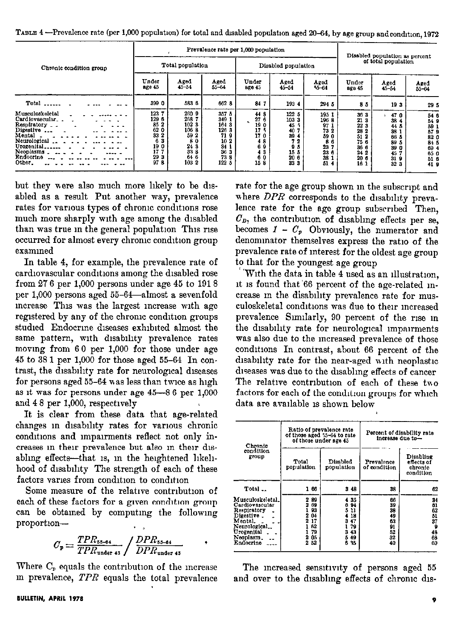|                                                                                                                                                                | Prevalence rate per 1,000 population                                         |                                                                                  |                                                                                                                 |                                                                                  |                                                                                       |                                                                           |                                                                                | Disabled population as percent                                                              |                                                                                        |  |
|----------------------------------------------------------------------------------------------------------------------------------------------------------------|------------------------------------------------------------------------------|----------------------------------------------------------------------------------|-----------------------------------------------------------------------------------------------------------------|----------------------------------------------------------------------------------|---------------------------------------------------------------------------------------|---------------------------------------------------------------------------|--------------------------------------------------------------------------------|---------------------------------------------------------------------------------------------|----------------------------------------------------------------------------------------|--|
| Chronic condition group                                                                                                                                        |                                                                              | Total population                                                                 |                                                                                                                 | Disabled population                                                              |                                                                                       |                                                                           | of total population                                                            |                                                                                             |                                                                                        |  |
|                                                                                                                                                                | Under<br>age 45                                                              | Aged<br>$45 - 54$                                                                | Aged<br>$55 - 64$                                                                                               | Under<br>are 45                                                                  | Aged<br>$45 - 54$                                                                     | Aged<br>$5 - 64$                                                          | Under<br>age 45                                                                | Aged<br>$45 - 54$                                                                           | Aged<br>$55 - 64$                                                                      |  |
| $Total$                                                                                                                                                        | 399 0                                                                        | 583 6                                                                            | 662 8                                                                                                           | 84 7                                                                             | 193 4                                                                                 | 294 5                                                                     | 85                                                                             | 193                                                                                         | 295                                                                                    |  |
| Musculoskeletal<br>Cardiovascular<br>Respiratory _ _<br>Digestive $\ldots$<br>Mental<br>Neurological<br>Urogenital.<br><b>Neoplasms</b><br>Endocrine<br>Other. | 123 7<br>129 6<br>85 2<br>62 0<br>33 2<br>3<br>6<br>190<br>17<br>29 3<br>978 | 260 9<br>268 7<br>102 3<br>1068<br>59 2<br>8<br>0<br>243<br>33 8<br>646<br>103 2 | 357 5<br>349 1<br>1643<br>126 3<br>719<br>10 <sub>2</sub><br>34 <sub>1</sub><br>36 <sub>3</sub><br>738<br>122 5 | 44 <sub>8</sub><br>276<br>$\bullet$<br>190<br>175<br>17 0<br>4<br>6<br>43<br>158 | 122 5<br>103 3<br>45<br>40<br>39 4<br>-2<br>5<br>9<br>15 <sub>5</sub><br>20 6<br>33 3 | 195 1<br>1968<br>971<br>73 2<br>59<br>0<br>8<br>23<br>23 6<br>38 1<br>514 | 36 3<br>213<br>22 3<br>28 2<br>51<br>2<br>75 6<br>36 6<br>24 2<br>20 6<br>16 1 | 470<br>384<br>44<br>38 <sup>°</sup><br>66 5<br>89 5<br>39 0<br>45<br>31 <sub>9</sub><br>323 | 54 6<br>54 9<br>59 1<br>57 <sub>9</sub><br>82 0<br>84 5<br>69 4<br>65 0<br>516<br>41 9 |  |

TABLE 4 -Prevalence rate (per 1,000 population) for total and disabled population aged 20-64, by age group and condition, 1972

but they were also much more likely to be disabled as a result Put another way, prevalence rates for various types of chronic conditions rose much more sharply with age among the disabled than was true in the general population This rise occurred for almost every chronic condition group examined

In table 4, for example, the prevalence rate of cardiovascular conditions among the disabled rose from 27 6 per 1,000 persons under age 45 to 1918 per 1,000 persons aged 55-64-almost a sevenfold increase This was the largest increase with age registered by any of the chronic condition groups studied Endocrine diseases exhibited almost the same pattern, with disability prevalence rates movmg from 60 per 1,000 for those under ags 45 to 38 1 per 1,000 for those aged 55-64 In contrast, the disability rate for neurological diseases for persons aged 55-64 was less than twice as high as It was for persons under age 45-8 6 per 1,000 and 4 8 per 1,000, respectwely

It is clear from these data that age-related changes m dlsablhty rates for various chronic condltlons and lmpalrments reflect not only increases in their prevalence but also in their disabling effects—that is, in the heightened likelihood of disability The strength of each of these factors varies from condition to condition

Some measure of the relative contribution of each of these factors for a given condition group can be obtamed by computmg the followmg proportion-

$$
C_{\rm p} = \frac{TPR_{\rm 55-64}}{TPR_{\rm under\ 45}} / \frac{DPR_{\rm 55-64}}{DPR_{\rm under\ 45}} \qquad \qquad
$$

Where  $C_p$  equals the contribution of the increase m prevalence, TPR equals the total prevalence

rate for the age group shown m the subscript and where  $DPR$  corresponds to the disability prevalence rate for the age group subscribed Then,  $C<sub>D</sub>$ , the contribution of disabling effects per se, becomes  $I - C_p$  Obviously, the numerator and denominator themselves express the ratio of the prevalence rate of interest for the oldest age group to that for the youngest age group

'With the data in table 4 used as an lllustratlon, it 1s found that'66 percent of the age-related mcrease m the disablhty prevalence rate for musculoskeletal conditions was due to their increased prevalence Similarly, 90 percent of the rise in the disability rate for neurological impairments was also due to the mcreased prevalence of those condltlons In contrast, about 66 percent of the disability rate for the near-aged with neoplastic diseases was due to the disabling effects of cancer The relative contribution of each of these two factors for each of the condition groups for which data are available is shown below

| Chronic                                                                                                                                        |                                                                         | Ratio of prevalence rate<br>of those aged 55-64 to rate<br>of those under age 45 | Percent of disability rate<br>increase due to-     |                                                   |  |  |
|------------------------------------------------------------------------------------------------------------------------------------------------|-------------------------------------------------------------------------|----------------------------------------------------------------------------------|----------------------------------------------------|---------------------------------------------------|--|--|
| condition<br>group                                                                                                                             | Total<br>population                                                     | Disabled<br>population                                                           | Prevalence<br>of condition                         | Disabling<br>effects of<br>chronic<br>condition   |  |  |
| Total                                                                                                                                          | 166                                                                     | 3 4 8                                                                            | 38                                                 | 62                                                |  |  |
| Musculoskeletal_<br>Cardiovascular<br>Respiratory<br>Digestive <sub>-</sub><br>Mental.<br>Neurological<br>Urogenital<br>Neoplasm.<br>Endocrine | 289<br>269<br>93<br>2 04<br>2 17<br>R <sub>2</sub><br>79<br>2 05<br>252 | 4 35<br>694<br>5 11<br>18<br>4<br>3<br>47<br>79<br>43<br>з<br>49<br>5<br>6<br>35 | 66<br>39<br>38<br>49<br>63<br>91<br>82<br>32<br>40 | 34<br>61<br>62<br>51<br>37<br>9<br>48<br>68<br>60 |  |  |

The increased sensitivity of persons aged 55 and over to the disabling effects of chronic dis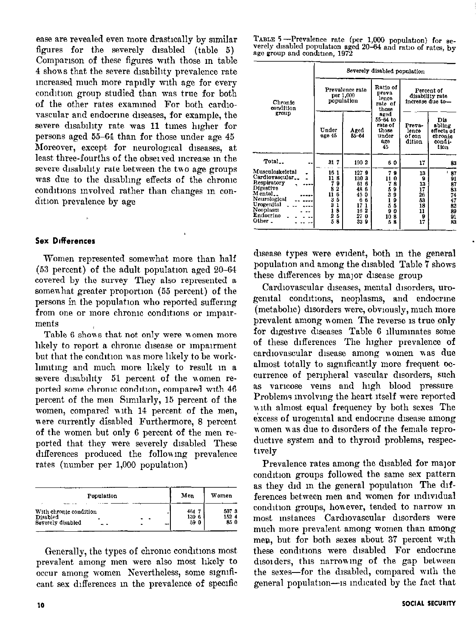ease are revealed even more drastically by sunilar figures for the severely disabled (table 5) Comparison of these figures with those in table 4 shons that the severe dlsabihty prevalence rate mcreased much more rapldly wth age for every condition group studied than was true for both of the other rates examined For both cardiovascular and endocrine diseases, for example, the severe disability rate was 11 times higher for persons aged 55-64 than for those under age 45 Moreover, except for neurological diseases, at least three-fourths of the obselved mcrease m the severe disability rate between the two age groups was due to the disabling effects of the chronic conditions involved rather than changes in condition prevalence by age

#### Sex Differences

Women represented somewhat more than half  $(53$  percent) of the adult population aged  $20-64$ covered by the survey They also represented a somewhat greater proportion (55 percent) of the persons in the population who reported suffermg from one or more chronic conditions or impairments

Table 6 shons that not only mere women more hkely to report a chronic disease or impairment but that the condition was more likely to be worklmntmg and much more hkely to result m a severe disability 51 percent of the women reported some chronic condition, compared with 46 percent of the men Similarly, 15 percent of the women, compared with 14 percent of the men, were currently disabled Furthermore, 8 percent of the women but only 6 percent of the men reported that they mere severely disabled These differences produced the following prevalence rates (number per 1,000 population)

| Population                                                         | Men                  | Women                 |
|--------------------------------------------------------------------|----------------------|-----------------------|
| With chronic condition<br>Disabled<br>-<br>Severely disabled<br>-- | 464<br>139 6<br>59 0 | 507 3<br>152 4<br>850 |

Generally, the types of chronic conditions most prevalent among men were also most hkely to occur among women Nevertheless, some slgmficant sex differences in the prevalence of specific TABLE 5 ---Prevalence rate (per 1,000 population) for severely disabled population aged 20-64 and ratio of rates, by age group and condition, 1972

|                                                                                                                                           | Severely disabled population                                                                                |                                                                                         |                                                                                                |                                                        |                                                                                                            |  |  |  |
|-------------------------------------------------------------------------------------------------------------------------------------------|-------------------------------------------------------------------------------------------------------------|-----------------------------------------------------------------------------------------|------------------------------------------------------------------------------------------------|--------------------------------------------------------|------------------------------------------------------------------------------------------------------------|--|--|--|
| Chronic<br>condition<br>group                                                                                                             |                                                                                                             | Prevalence rate<br>per 1,000<br>population                                              | Ratio of<br><b>Dreva</b><br>lence<br>rate of<br>those                                          | Percent of<br>disability rate<br>increase due to-      |                                                                                                            |  |  |  |
|                                                                                                                                           | Under<br>age 45                                                                                             | Aged<br>$5 - 64$                                                                        | aged<br>$55 - 64$ to<br>rate of<br>those<br>under<br>age<br>45                                 | Prava-<br>lence<br>of con<br>dition                    | Dis<br>abling<br>effects of<br>chronic<br>condi-<br>tion                                                   |  |  |  |
| Total                                                                                                                                     | 31 7                                                                                                        | 1902                                                                                    | 60                                                                                             | 17                                                     | 83                                                                                                         |  |  |  |
| Musculoskeletal<br>Cardiovascular_<br>Respiratory<br>Digestive<br>Mental<br>Neurological<br>Urogenital<br>Neoplasm<br>Endocrine<br>Other. | 16 1<br>11.<br>8<br>9<br>$\boldsymbol{2}$<br>8<br>11<br>6<br>5<br>3<br>3<br>1<br>8<br>1<br>2<br>5<br>5<br>я | 1279<br>130 3<br>61<br>6<br>48 6<br>45<br>0<br>ß<br>A<br>17<br>1<br>16 2<br>270<br>33 9 | 7<br>9<br>11<br>0<br>7<br>8<br>5<br>9<br>3<br>9<br>ì<br>9<br>5<br>5<br>9<br>0<br>103<br>5<br>8 | 13<br>9<br>13<br>17<br>26<br>53<br>18<br>11<br>9<br>17 | ł<br>87<br>91<br>$\begin{array}{c} 87 \\ 83 \end{array}$<br>$\frac{74}{17}$<br>$\frac{82}{89}$<br>91<br>83 |  |  |  |

disease types were evident, both in the general population and among the disabled Table 7 shows these differences by major disease group

Cardiovascular diseases, mental disorders, urogenital conditions, neoplasms, and endocrine (metabolic) disorders were, obviously, much more prevalent among nomen The reverse IS true only for digestive diseases Table 6 illuminates some of these differences The higher prevalence of cardiovascular disease among women was due almost totally to significantly more frequent occurrence of peripheral vascular disorders, such as varicose veins and high blood pressure Problems mvolvmg the heart itself were reported with almost equal frequency by both sexes The excess of urogenital and endocrine disease among women was due to disorders of the female reproductive system and to thyroid problems, respectively

Prevalence rates among the disabled for major condition groups followed the same sex pattern as they did in the general population The differences between men and women for individual condition groups, however, tended to narrow in most mstances Cardiovascular disorders were much more prevalent among women than among men, but for both sexes about 37 percent with these conditions were disabled For endocrine disorders, this narrowing of the gap between the sexes-for the disabled, compared wth the general population--is indicated by the fact that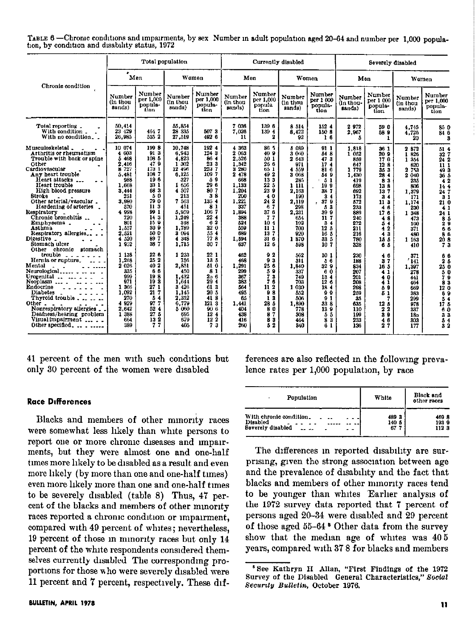|                                                | TABLE 6 —Chronic conditions and impairments, by sex Number in adult population aged 20-64 and number per 1,000 popula- |  |
|------------------------------------------------|------------------------------------------------------------------------------------------------------------------------|--|
| tion, by condition and disability status, 1972 |                                                                                                                        |  |

| Total population                                                                                                                                                                                                                                                                                                                                                                                                                                                                                                                                                                                                                                                                                         |                                                                                                                                                                                                                                                                                             |                                                                                                                                                                                                                                                         |                                                                                                                                                                                                                                                                                         | Currently disabled                                                                                                                                                                                                                                                                |                                                                                                                                                                                                                                                                |                                                                                                                                                                                                                                                                        | Severely disabled                                                                                                                                                                                                                                            |                                                                                                                                                                                                                                                                                         |                                                                                                                                                                                                                                            |                                                                                                                                                                                                                                                                                  |                                                                                                                                                                                                                                                                                               |                                                                                                                                                                                                                                                                                                                      |
|----------------------------------------------------------------------------------------------------------------------------------------------------------------------------------------------------------------------------------------------------------------------------------------------------------------------------------------------------------------------------------------------------------------------------------------------------------------------------------------------------------------------------------------------------------------------------------------------------------------------------------------------------------------------------------------------------------|---------------------------------------------------------------------------------------------------------------------------------------------------------------------------------------------------------------------------------------------------------------------------------------------|---------------------------------------------------------------------------------------------------------------------------------------------------------------------------------------------------------------------------------------------------------|-----------------------------------------------------------------------------------------------------------------------------------------------------------------------------------------------------------------------------------------------------------------------------------------|-----------------------------------------------------------------------------------------------------------------------------------------------------------------------------------------------------------------------------------------------------------------------------------|----------------------------------------------------------------------------------------------------------------------------------------------------------------------------------------------------------------------------------------------------------------|------------------------------------------------------------------------------------------------------------------------------------------------------------------------------------------------------------------------------------------------------------------------|--------------------------------------------------------------------------------------------------------------------------------------------------------------------------------------------------------------------------------------------------------------|-----------------------------------------------------------------------------------------------------------------------------------------------------------------------------------------------------------------------------------------------------------------------------------------|--------------------------------------------------------------------------------------------------------------------------------------------------------------------------------------------------------------------------------------------|----------------------------------------------------------------------------------------------------------------------------------------------------------------------------------------------------------------------------------------------------------------------------------|-----------------------------------------------------------------------------------------------------------------------------------------------------------------------------------------------------------------------------------------------------------------------------------------------|----------------------------------------------------------------------------------------------------------------------------------------------------------------------------------------------------------------------------------------------------------------------------------------------------------------------|
|                                                                                                                                                                                                                                                                                                                                                                                                                                                                                                                                                                                                                                                                                                          | ٠                                                                                                                                                                                                                                                                                           | Men                                                                                                                                                                                                                                                     |                                                                                                                                                                                                                                                                                         | Women                                                                                                                                                                                                                                                                             |                                                                                                                                                                                                                                                                | Men                                                                                                                                                                                                                                                                    |                                                                                                                                                                                                                                                              | Women                                                                                                                                                                                                                                                                                   | Men                                                                                                                                                                                                                                        |                                                                                                                                                                                                                                                                                  | Women                                                                                                                                                                                                                                                                                         |                                                                                                                                                                                                                                                                                                                      |
| Chronic condition                                                                                                                                                                                                                                                                                                                                                                                                                                                                                                                                                                                                                                                                                        | Number<br>(in thou<br>sands)                                                                                                                                                                                                                                                                | Number<br>per 1.000<br>popula-<br>tlon.                                                                                                                                                                                                                 | Number<br>(in thou<br>sands)                                                                                                                                                                                                                                                            | Number<br>per 1,000<br>popula-<br>tion.                                                                                                                                                                                                                                           | Number<br>(in thou<br>sands)                                                                                                                                                                                                                                   | Number<br>per 1,000<br>popula<br>tion                                                                                                                                                                                                                                  | Number<br>(in thou<br>sands)                                                                                                                                                                                                                                 | Number<br>per 1 000<br>popula-<br>tlon                                                                                                                                                                                                                                                  | Number<br>(in thou-<br>sands)                                                                                                                                                                                                              | Number<br>per 1 000<br>popula-<br>tion                                                                                                                                                                                                                                           | <b>Number</b><br>(in thou<br>sands)                                                                                                                                                                                                                                                           | Number<br>per 1,000<br>popula-<br>tion                                                                                                                                                                                                                                                                               |
| Total reporting.<br>With condition _<br>With no condition                                                                                                                                                                                                                                                                                                                                                                                                                                                                                                                                                                                                                                                | 50.414<br>23 429<br>26,985                                                                                                                                                                                                                                                                  | 4647<br>535 2                                                                                                                                                                                                                                           | 55,854<br>28 335<br>27,519                                                                                                                                                                                                                                                              | 507 3<br>492 6                                                                                                                                                                                                                                                                    | 7 036<br>7,026<br>11                                                                                                                                                                                                                                           | 139 6<br>139 4<br>2                                                                                                                                                                                                                                                    | 8 5 1 4<br>8,422<br>92                                                                                                                                                                                                                                       | 152 4<br>150 8<br>16                                                                                                                                                                                                                                                                    | 2972<br>2,967<br>5                                                                                                                                                                                                                         | 59 0<br>58 9<br>t                                                                                                                                                                                                                                                                | 4 745<br>4,726<br>20                                                                                                                                                                                                                                                                          | 85 0<br>84 6<br>2                                                                                                                                                                                                                                                                                                    |
| Musculoskeletal _<br>Arthritis or rheumatism<br>Trouble with back or spine<br>Other<br>Cardiovascular<br>Any heart trouble<br>Heart attacks<br>Heart trouble<br>High blood pressure<br>Stroke<br>Other arterial/vascular.<br>Hardening of arteries<br>Respiratory<br>Chronic bronchitis<br>Emphysema.<br>Asthma<br>Respiratory allergies<br>Digestive _<br>Stomach ulcer<br>Other chronic stomach<br>trouble<br>Hernia or rupture. $\ldots$ .<br>Mental<br>Neurological<br>Urogenital<br>Neoplasm  . $\ldots$<br>Endocrine<br>$\sim$ 100 km s $^{-1}$<br><b>Diabetes</b><br>Thyroid trouble.<br>Other.<br>Nonrespiratory allergies.<br>Deafness/hearing problem<br>Visual impairment<br>Other specified. | 10 074<br>4 603<br>5 4 6 8<br>2.416<br>8 727<br>5.481<br>988<br>1.668<br>3.444<br>251<br>3.980<br>570<br>4 9 9 8<br>720<br>801<br>1.557<br>2,521<br>$4^{6}520$<br>1952<br>1 138<br>1,268<br>2 0 2 6<br>335<br>999<br>971<br>1 366<br>1.092<br>270<br>4 9 29<br>2,642<br>1 388<br>664<br>389 | 1998<br>913<br>103 5<br>479<br>173 1<br>1087<br>196<br>33 1<br>633<br>50<br>79 0<br>11 <sub>3</sub><br>99 1<br>14 3<br>159<br>309<br>500<br>897<br>387<br>226<br>25 2<br>402<br>66<br>198<br>193<br>271<br>217<br>54<br>977<br>524<br>27 5<br>132<br>77 | 10,748<br>6,943<br>4.823<br>1 302<br>12 496<br>6,125<br>327<br>1 656<br>4 507<br>213<br>7 563<br>451<br>5,959<br>1,249<br>348<br>1.789<br>3'004<br>4 3 4 8<br>1,715<br>1 233<br>756<br>2,851<br>450<br>1.432<br>1.644<br>3'426<br>1.145<br>2,332<br>6,779<br>5 0 0<br>695<br>679<br>405 | 192 4<br>124 3<br>86 4<br>23 3<br>223 7<br>1097<br>59<br>29 6<br>80 7<br>38<br>135 4<br>81<br>106 7<br>224<br>62<br>32 0<br>554<br>77.8<br>30 7<br>22 1<br>135<br>51 0<br>81<br>2 <sub>0</sub> 6<br>29 4<br>61 3<br>20 5<br>418<br>121 3<br>90 <sub>6</sub><br>12.4<br>12 2<br>73 | 4 3 3 3<br>2 063<br>2,526<br>1,342<br>3 230<br>2 478<br>668<br>1.133<br>1,204<br>200<br>1,221<br>337<br>1,894<br>358<br>524<br>559<br>689<br>1,594<br>637<br>462<br>468<br>1.291<br>299<br>367<br>383<br>564<br>495<br>65<br>1,441<br>404<br>438<br>416<br>260 | 86.5<br>409<br>50 1<br>26 6<br>65 1<br>49 2<br>133<br>22 5<br>239<br>40<br>24 2<br>67<br>37 6<br>7 <sub>7</sub><br>10.4<br>111<br>137<br>31 6<br>12 6<br>92<br>9 <sub>3</sub><br>25 6<br>59<br>73<br>76<br>11 <sub>2</sub><br>9S<br>13<br>28 5<br>80<br>87<br>83<br>52 | 5 089<br>3 060<br>2 643<br>971<br>4 559<br>3 068<br>285<br>1 111<br>2,163<br>190<br>2,119<br>298<br>2,231<br>654<br>102<br>700<br>920<br>1870<br>598<br>562<br>311<br>1,840<br>337<br>749<br>703<br>1 030<br>652<br>506<br>1,890<br>778<br>308<br>464<br>340 | 911<br>54 8<br>473<br>174<br>81 6<br>54 9<br>51<br>19 <sub>9</sub><br>387<br>3 <sub>4</sub><br>370<br>$\lambda$<br>53<br>39 9<br>117<br>34<br>12 5<br>16 5<br>33 5<br>107<br>10 1<br>56<br>32 9<br>60<br>13 4<br>$\overline{12}$ 6<br>184<br>99<br>91<br>33 8<br>13 9<br>55<br>83<br>61 | 1,818<br>1'052<br>859<br>647<br>1 779<br>1.430<br>419<br>698<br>692<br>173<br>572<br>233<br>889<br>240<br>272<br>211<br>216<br>780<br>328<br>230<br>188<br>834<br>207<br>201<br>208<br>298<br>259<br>35<br>635<br>110<br>199<br>233<br>136 | 36 <sub>1</sub><br>20 9<br>170<br>12 <sub>8</sub><br>35 3<br>28 4<br>83<br>133<br>137<br>34<br>113<br>46<br>176<br>48<br>54<br>$\boldsymbol{2}$<br>4<br>43<br>15 <sub>5</sub><br>65<br>46<br>37<br>16 5<br>41<br>40<br>41<br>59<br>51<br>123<br>2 <sub>2</sub><br>39<br>46<br>27 | 2 872<br>1 826<br>1 354<br>620<br>2 753<br>2 0 4 0<br>235<br>306<br>1,379<br>171<br>1,174<br>230<br>1 348<br>473<br>160<br>371<br>480<br>1 163<br>410<br>371<br>$^{\prime}$ 141 $^{\prime}$<br>1,397<br>278<br>441<br>464<br>669<br>383<br>299<br>978<br>337<br>18 <sub>o</sub><br>303<br>177 | 51 <sub>4</sub><br>327<br>24 2<br>111<br>493<br>36 5<br>$\overline{4}$ 2<br>144<br>247<br>3 <sub>1</sub><br>210<br>41<br>241<br>$\frac{8}{2}$<br>66<br>$\overline{\bf 8}$ $\overline{\bf 6}$<br>$\frac{20}{7}\frac{8}{3}$<br>66<br>25<br>25 0<br>3 O<br>79<br>83<br>120<br>69<br>54<br>17 S<br>ĞŌ.<br>33<br>54<br>32 |

41 percent of the men with such conditions but only 30 percent of the women were disabled

#### **Race Differences**

Blacks and members of other mmorliy races were somewhat less hkely than white persons to report one or more chronic diseases and impairments, but they were almost one and one-half times more likely to be disabled as a result and even more likely (by more than one and one-half times) even more likely more than one and one-half times to be severely disabled (table 8) Thus, 47 percent of the blacks and members of other minority races reported a chronic condition or impairment, compared with 49 percent of whites; nevertheless, 19 percent of those m mmorlty races but only 14 percent of the white respondents considered themselves currently disabled The correspondmg proportions for those who were severely disabled were 11 percent and 7 percent, respectively. These differences are also reflected m the followmg prevalence rates per 1,000 population, by race

| Population              | White | Black and<br>other races |
|-------------------------|-------|--------------------------|
| With chronic condition. | 4893  | 4698                     |
| Disabled                | 140 5 | 1939                     |
| Severely disabled       | 67    | 1123                     |

The differences in reported disability are surprising, given the strong association between age and the prevalence of dlsabdlty and the fact that blacks and members of other mmority races tend to be younger than whites Earlier analysis of the 1972 survey data reported that 7 percent of persons aged 20-34 were disabled and 29 percent of those aged 55-64 6 Other data from the survey show that the median age of whites was  $405$ years, compared with 37 8 for blacks and members

<sup>&</sup>lt;sup>5</sup> See Kathryn H Allan, "First Findings of the 1972 Survey of the Disabled General Characteristics," Social Eecurzty Bulletin. October 1976.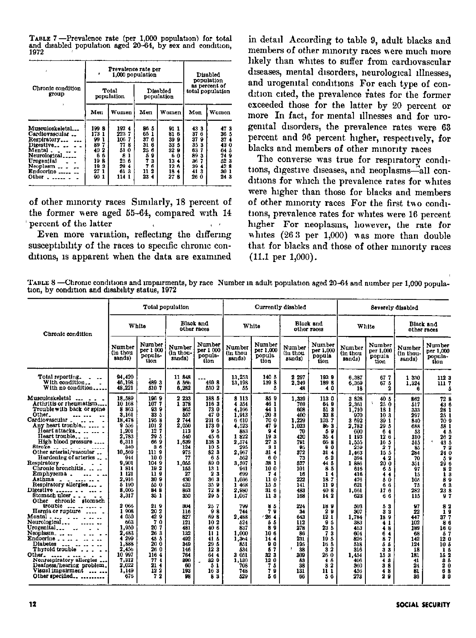TABLE 7 -- Prevalence rate (per 1,000 population) for total and disabled population aged 20-64, by sex and condition, 1972

| Chronic condition<br>group                                                                                                                  |                                                                                                                                                                                           | Prevalence rate per<br>1,000 population | Disabled<br>population                                                                                |                                                                                                     |                                                                                                                                                                                            |       |  |
|---------------------------------------------------------------------------------------------------------------------------------------------|-------------------------------------------------------------------------------------------------------------------------------------------------------------------------------------------|-----------------------------------------|-------------------------------------------------------------------------------------------------------|-----------------------------------------------------------------------------------------------------|--------------------------------------------------------------------------------------------------------------------------------------------------------------------------------------------|-------|--|
|                                                                                                                                             |                                                                                                                                                                                           | Total<br>population                     |                                                                                                       | Disabled<br>population                                                                              | as percent of<br>total population                                                                                                                                                          |       |  |
|                                                                                                                                             | Men                                                                                                                                                                                       | Women                                   | Mon                                                                                                   | Women                                                                                               | Men                                                                                                                                                                                        | Women |  |
| Musculoskeletal<br>Cardiovascular<br>Respiratory<br>Digestive<br>Mental.<br>Neurological<br>Urogenital<br>Neoplasm  .<br>Endoerine<br>Other | 1998<br>1924<br>2237<br>173<br>1<br>106<br>99<br>7<br>7<br>89<br>77<br>8<br>40<br>51<br>2<br>0<br>6<br>6<br>8<br>19<br>8<br>25<br>6<br>19<br>я<br>29<br>4<br>27<br>я<br>61<br>90<br>114 1 |                                         | 86 S<br>65<br>1<br>37<br>6<br>31<br>6<br>25<br>6<br>5<br>Ω<br>7<br>3<br>f.<br>7<br>2<br>11<br>23<br>4 | 91 1<br>81<br>ĥ<br>39<br>9<br>33<br>5<br>32<br>9<br>0<br>6<br>13<br>4<br>12 6<br>18<br>4<br>27<br>а | 473<br>43 3<br>37<br>36 5<br>6<br>37<br>37<br>۰<br>4<br>35<br>43 0<br>я<br>63<br>64 5<br>7<br>89<br>а<br>749<br>523<br>36<br>42 R<br>39<br>4<br>41<br>я<br>30 <sub>1</sub><br>26 0<br>24 3 |       |  |

of other minority races Similarly, 18 percent of the former were aged 55-64, compared with 14 percent of the latter  $\mathbf{q} = \mathbf{z}^{\top}$ 

Even more variation, reflecting the differing susceptibility of the races to specific chronic conditions, is apparent when the data are examined

in detail According to table 9, adult blacks and members of other minority races were much more likely than whites to suffer from cardiovascular diseases, mental disorders, neurological illnesses, and urogenital conditions For each type of condition cited, the prevalence rates for the former exceeded those for the latter by 20 percent or more In fact, for mental illnesses and for urogenital disorders, the prevalence rates were 63 percent and 96 percent higher, respectively, for blacks and members of other minority races

The converse was true for respiratory conditions, digestive diseases, and neoplasms-all conditions for which the prevalence rates for whites were higher than those for blacks and members of other minority races For the first two conditions, prevalence rates for whites were 16 percent higher For neoplasms, however, the rate for whites  $(263$  per 1,000) was more than double that for blacks and those of other minority races  $(11.1 \text{ per } 1,000).$ 

TABLE 8 -Chronic conditions and impairments, by race Number in adult population aged 20-64 and number per 1,000 population, by condition and disability status, 1972

|                                                                                                                                                                                                                                                                                                                                                                                                                                                                                                                                                                                      |                                                                                                                                                                          |                                                                                                                                                            | Total population                                                                                                                              |                                                                                                                                                            | Currently disabled                                                                                                                                             |                                                                                                                                                                                                     |                                                                                                                                     |                                                                                                                                              | Severely disabled                                                                                                                                      |                                                                                                                                            |                                                                                                                             |                                                                                                                                       |
|--------------------------------------------------------------------------------------------------------------------------------------------------------------------------------------------------------------------------------------------------------------------------------------------------------------------------------------------------------------------------------------------------------------------------------------------------------------------------------------------------------------------------------------------------------------------------------------|--------------------------------------------------------------------------------------------------------------------------------------------------------------------------|------------------------------------------------------------------------------------------------------------------------------------------------------------|-----------------------------------------------------------------------------------------------------------------------------------------------|------------------------------------------------------------------------------------------------------------------------------------------------------------|----------------------------------------------------------------------------------------------------------------------------------------------------------------|-----------------------------------------------------------------------------------------------------------------------------------------------------------------------------------------------------|-------------------------------------------------------------------------------------------------------------------------------------|----------------------------------------------------------------------------------------------------------------------------------------------|--------------------------------------------------------------------------------------------------------------------------------------------------------|--------------------------------------------------------------------------------------------------------------------------------------------|-----------------------------------------------------------------------------------------------------------------------------|---------------------------------------------------------------------------------------------------------------------------------------|
| Chronic condition                                                                                                                                                                                                                                                                                                                                                                                                                                                                                                                                                                    |                                                                                                                                                                          | White                                                                                                                                                      |                                                                                                                                               | Black and<br>other races                                                                                                                                   |                                                                                                                                                                | White                                                                                                                                                                                               | other races                                                                                                                         | Black and                                                                                                                                    |                                                                                                                                                        | White                                                                                                                                      |                                                                                                                             | Black and<br>other races                                                                                                              |
|                                                                                                                                                                                                                                                                                                                                                                                                                                                                                                                                                                                      | Number<br>(in thou<br>sands)                                                                                                                                             | Number<br>per 1 000<br>popula-<br>tion                                                                                                                     | Number<br>(in thou-<br>sands)                                                                                                                 | Number<br>per 1 000<br>popula-<br>tion                                                                                                                     | Number<br>(in thou<br>sands)                                                                                                                                   | Number<br>per 1,000<br>popula<br>tion                                                                                                                                                               | Number<br>(in thou<br>sands)                                                                                                        | Number<br>per 1,000<br>popula<br>tion                                                                                                        | Number<br>(in thou<br>sands)                                                                                                                           | Number<br>per 1.000<br>popula<br>tion                                                                                                      | Number<br>(in thou-<br>sands)                                                                                               | Number<br>per 1.000<br>popula-<br>tion                                                                                                |
| Total reporting.<br>With condition<br>With no condition                                                                                                                                                                                                                                                                                                                                                                                                                                                                                                                              | 94.420<br>46,198<br>48,221                                                                                                                                               | 489 3<br>510 7                                                                                                                                             | 11 848<br>5 5 6 6<br>6,282                                                                                                                    | 4698<br>530 2                                                                                                                                              | 13.253<br>13,198<br>55                                                                                                                                         | 140 5<br>139 8<br>5                                                                                                                                                                                 | 2 297<br>2.249<br>48                                                                                                                | 1939<br>189 8<br>40                                                                                                                          | 6.387<br>6,369<br>18                                                                                                                                   | 677<br>67 <sub>5</sub><br>2                                                                                                                | 1 330<br>1,324<br>$\mathbf{a}$                                                                                              | 112 3<br>1117<br>ā                                                                                                                    |
| Musculoskeletal<br>Arthritis or rheumatism<br>Trouble with back or spine<br>Other.<br>$\cdots$<br>Cardiovascular.<br>$\sim$ $\sim$ $\sim$<br>Any heart trouble<br>Heart attacks<br>Heart trouble<br>High blood pressure<br>$8$ troke $\frac{1}{2}$ $\frac{1}{2}$ $\frac{1}{2}$ $\frac{1}{2}$ $\frac{1}{2}$ $\frac{1}{2}$<br>Other arterial/vascular<br>Hardening of arteries<br>Respiratory.<br>Chronic bronchitis<br>Emphysema.<br>Asthma<br>الداعد عطفات الدار<br>Respiratory allergies<br>Digestive $\ldots$ $\ldots$ $\ldots$ $\ldots$<br>Stomach ulcer<br>Other chronic stomach | 18.539<br>10 168<br>8 8 6 3<br>3.161<br>13,478<br>9'556<br>1,201<br>2,783<br>6,311<br>840<br>10,569<br>944<br>9.901<br>1814<br>1 121<br>2.916<br>5 190<br>8,005<br>3,317 | 1969<br>1077<br>939<br>33 5<br>1958<br>101 2<br>127<br>29 <sub>5</sub><br>669<br>36<br>111 9<br>10 0<br>104 9<br>192<br>119<br>30 9<br>550<br>84 8<br>35 1 | 2 2 3 3<br>1 378<br>865<br>557<br>2 744<br>2,050<br>113<br>840<br>1.639<br>124<br>975<br>77<br>1.055<br>155<br>27<br>430<br>425<br>863<br>850 | 188 5<br>116 3<br>73 0<br>47 0<br>231 6<br>1730<br>95<br>45 6<br>1383<br>10 5<br>52 3<br>65<br>890<br>13 <sub>1</sub><br>23<br>36 3<br>359<br>72 8<br>29 5 | 8 113<br>4 3 5 4<br>4.166<br>1,913<br>6'610<br>4.523<br>883<br>1822<br>2,574<br>295<br>2.967<br>562<br>3.597<br>941<br>699<br>1.036<br>1 468<br>2,980<br>1,067 | 859<br>16 <sub>1</sub><br>44 1<br>$20\,3$<br>70 0<br>47 9<br>9 <sub>4</sub><br>19 <sub>3</sub><br>27 3<br>31<br>31 <sub>4</sub><br>60<br>38 1<br>100<br>74<br>110<br>15 <sub>5</sub><br>31 6<br>113 | 1,339<br>769<br>608<br>400<br>1.229<br>1,023<br>70<br>420<br>791<br>95<br>372<br>73<br>527<br>101<br>16<br>222<br>141<br>483<br>168 | 113 0<br>64 9<br>51 8<br>33 8<br>1037<br>86 3<br>59<br>35 4<br>668<br>80<br>314<br>62<br>44 5<br>8<br>5<br>14<br>187<br>11 9<br>40 8<br>14 2 | 3 3 2 8<br>2.361<br>1.710<br>970<br>3 692<br>2.782<br>600<br>1 193<br>1.555<br>250<br>1.463<br>394<br>1886<br>616<br>416<br>476<br>621<br>1.661<br>623 | 40 5<br>25 0<br>181<br>103<br>39 <sub>1</sub><br>29 5<br>64<br>126<br>16 5<br>27<br>15 5<br>42<br>200<br>65<br>44<br>50<br>66<br>176<br>66 | 862<br>517<br>333<br>297<br>840<br>688<br>53<br>310<br>515<br>85<br>284<br>70<br>351<br>97<br>15<br>105<br>75<br>282<br>115 | 72 8<br>430<br>28 1<br>251<br>709<br>58 1<br>45<br>262<br>٠<br>43 5<br>72<br>24 C<br>59<br>290<br>3 Z<br>ÏЗ<br>ŝğ<br>63<br>23 8<br>97 |
| trouble $\ldots$ $\ldots$ $\ldots$ $\ldots$<br>Hernia or rupture  .<br>Mental<br>Neurological<br>Urogenital<br>Neoplasm<br>Endocrine $\ldots$ $\ldots$ $\ldots$<br><b>Diabetes</b><br>Thyroid trouble<br>Other.<br>ther<br>Nonrespiratory allergies<br>Deafness/hearing problem.<br>Visual impairment<br>Other specified<br>---------                                                                                                                                                                                                                                                | 2 066<br>1 908<br>4 050<br>663<br>1.950<br>2.433<br>4 299<br>1.888<br>2,456<br>10 997<br>7,312<br>2.022<br>1,149<br>676                                                  | 219<br>20 2<br>429<br>70<br>20 7<br>26 3<br>45 &<br>20 0<br>26 0<br>1164<br>774<br>21.4<br>122<br>72                                                       | 304<br>116<br>827<br>121<br>481<br>132<br>492<br>349<br>146<br>764<br>300<br>60<br>193<br>98                                                  | 257<br>98<br>69 8<br>102<br>40 6<br>$\mathbf{11}$<br>41 5<br>29 5<br>123<br>64 4<br>32 0<br>51<br>163<br>83                                                | 799<br>744<br>2.488<br>524<br>837<br>1.000<br>1,364<br>851<br>534<br>3 051<br>1.130<br>708<br>748<br>529                                                       | 85<br>79<br>26 4<br>55<br>89<br>10 <sub>0</sub><br>14 4<br>90<br>57<br>32 3<br>120<br>75<br>79<br>56                                                                                                | 224<br>34<br>643<br>112<br>278<br>86<br>231<br>195<br>38<br>309<br>53<br>38<br>131<br>66                                            | 189<br>20<br>12 <sub>1</sub><br>9 <sub>5</sub><br>23 5<br>73<br>19 5<br>16 5<br>3 <sub>2</sub><br>26 0<br>45<br>82<br>111<br>56              | 503<br>307<br>1.784<br>383<br>453<br>604<br>826<br>518<br>316<br>1.454<br>406<br>360<br>456<br>273                                                     | 53<br>33<br>189<br>41<br>48<br>6<br>$\overline{\mathbf{4}}$<br>87<br>$5-5$<br>3 <sub>3</sub><br>153<br>48<br>38<br>48<br>29                | 97<br>22<br>447<br>102<br>189<br>68<br>142<br>124<br>18<br>181<br>41<br>24<br>81<br>86                                      | 82<br>19<br>377<br>86<br>100<br>57<br>120<br>10 <sub>5</sub><br>15<br>15 2<br>$3\bar{5}$<br>20<br>68<br>3 <sub>0</sub>                |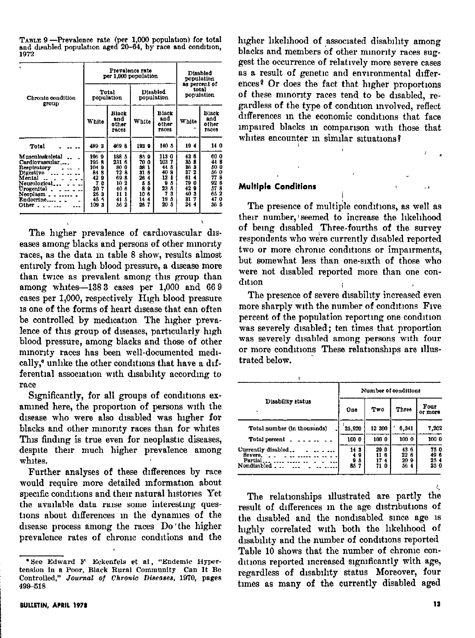| ä                                                                                                                                                             |                                                                                                | Prevalence rate<br>per 1,000 population                                                                   | Disabled<br>population                                                                                   |                                                                                                 |                                                                                                      |                                                                          |  |  |
|---------------------------------------------------------------------------------------------------------------------------------------------------------------|------------------------------------------------------------------------------------------------|-----------------------------------------------------------------------------------------------------------|----------------------------------------------------------------------------------------------------------|-------------------------------------------------------------------------------------------------|------------------------------------------------------------------------------------------------------|--------------------------------------------------------------------------|--|--|
| Chronic condition<br>group                                                                                                                                    | population                                                                                     | Total                                                                                                     |                                                                                                          | <b>Disabled</b><br>population                                                                   | as percent of<br>total<br>population                                                                 |                                                                          |  |  |
|                                                                                                                                                               | White                                                                                          | Black<br>and<br>other<br>races                                                                            | White                                                                                                    | Black<br>and<br>other<br><b>TBC05</b>                                                           | White                                                                                                | Black<br>and<br>other<br><b>races</b>                                    |  |  |
| Total                                                                                                                                                         | 4893                                                                                           | 4698                                                                                                      | 1939                                                                                                     | 140 5                                                                                           | 194                                                                                                  | 14 0                                                                     |  |  |
| Musculoskeletal<br>Cardiovascular<br>Respiratory<br>Digestive<br>Mental<br>Neurological<br>Urogenital <sub>-</sub><br>Neoplasm<br>Endocrine<br>Other $\ldots$ | 1969<br>1958<br>1049<br>8<br>84<br>42<br>Ω<br>7<br>n<br>7<br>20<br>26<br>з<br>45<br>×,<br>1093 | 188 5<br>231<br>6<br>89<br>0<br>72<br>8<br>69<br>8<br>2<br>10<br>40<br>6<br>11<br>1<br>5<br>41<br>56<br>2 | 85<br>9<br>70<br>0<br>38<br>1<br>31<br>6<br>26<br>4<br>5<br>5<br>8<br>9<br>10<br>6<br>14<br>4<br>26<br>7 | 1130<br>1037<br>44 5<br>40<br>8<br>12<br>1<br>9<br>ň<br>23<br>Λ<br>7<br>я<br>19<br>ñ<br>20<br>5 | 43 6<br>85 8<br>36<br>а<br>37<br>2<br>61<br>4<br>79<br>0<br>42<br>9<br>40<br>a<br>31<br>7<br>24<br>4 | 60 O<br>448<br>50 0<br>56 0<br>77 8<br>926<br>57 8<br>652<br>470<br>36 5 |  |  |

TABLE 9-Prevalence rate (per 1,000 population) for total and disabled population aged 20-64, by race and condition, 1972

The higher prevalence of cardiovascular diseases among blacks and persons of other minority races, as the data in table 8 show, results almost entirely from high blood pressure, a disease more than twice as prevalent among this group than among whites-1383 cases per 1,000 and 669 cases per 1,000, respectively High blood pressure is one of the forms of heart disease that can often be controlled by medication The higher prevalence of this group of diseases, particularly high blood pressure, among blacks and those of other minority races has been well-documented medically,<sup>6</sup> unlike the other conditions that have a differential association with disability according to race

Significantly, for all groups of conditions examined here, the proportion of persons with the disease who were also disabled was higher for blacks and other minority races than for whites This finding is true even for neoplastic diseases, despite their much higher prevalence among whites.

Further analyses of these differences by race would require more detailed information about specific conditions and their natural histories Yet the available data raise some interesting questions about differences in the dynamics of the disease process among the races Do'the higher prevalence rates of chronic conditions and the higher likelihood of associated disability among blacks and members of other minority races suggest the occurrence of relatively more severe cases as a result of genetic and environmental differences? Or does the fact that higher proportions of these minority races tend to be disabled, regardless of the type of condition involved, reflect differences in the economic conditions that face impaired blacks in comparison with those that whites encounter in similar situations?

#### **Multiple Conditions**

The presence of multiple conditions, as well as their number, seemed to increase the likelihood of being disabled Three-fourths of the survey respondents who were currently disabled reported two or more chronic conditions or impairments, but somewhat less than one-sixth of those who were not disabled reported more than one condition

The presence of severe disability increased even more sharply with the number of conditions Five percent of the population reporting one condition was severely disabled; ten times that proportion was severely disabled among persons with four or more conditions These relationships are illustrated below.

|                                                          | Number of conditions               |                               |                            |                           |  |  |  |  |  |
|----------------------------------------------------------|------------------------------------|-------------------------------|----------------------------|---------------------------|--|--|--|--|--|
| Disability status<br>١L.                                 | One                                | Two                           | Three                      | Four<br>or more           |  |  |  |  |  |
| Total number (in thousands)                              | 25,920                             | 12 300                        | 6.341                      | 7.202                     |  |  |  |  |  |
| Total percent                                            | 100 0                              | 100 0                         | 100 0                      | 1000                      |  |  |  |  |  |
| Currently disabled<br>Severe.<br>Partial.<br>Nondisabled | 143<br>9<br>4<br>9<br>5<br>85<br>7 | 290<br>116<br>17<br>4<br>71 O | 43 6<br>226<br>209<br>56 4 | 75 O<br>496<br>254<br>250 |  |  |  |  |  |

The relationships illustrated are partly the result of differences in the age distributions of the disabled and the nondisabled since age is highly correlated with both the likelihood of disability and the number of conditions reported Table 10 shows that the number of chronic conditions reported increased significantly with age, regardless of disability status Moreover, four times as many of the currently disabled aged

<sup>&#</sup>x27;See Edward F Eckenfels et al. "Endemic Hypertension in a Poor, Black Rural Community Can It Be Controlled," Journal of Chronic Diseases, 1970, pages 499-518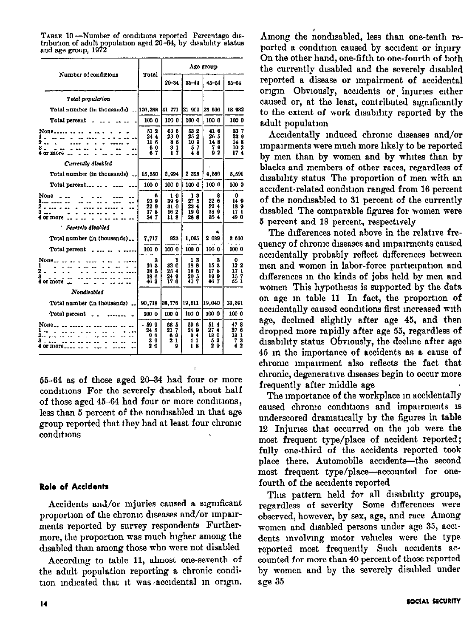|                                                                                                                                                                                                                                                                                                                                                                        |                                 |                                  |                                            | Age group                          |                                  |
|------------------------------------------------------------------------------------------------------------------------------------------------------------------------------------------------------------------------------------------------------------------------------------------------------------------------------------------------------------------------|---------------------------------|----------------------------------|--------------------------------------------|------------------------------------|----------------------------------|
| Number of conditions                                                                                                                                                                                                                                                                                                                                                   | Total                           | $20 - 34$                        | $35 - 14$                                  | $45 - 54$                          | $55 - 64$                        |
| Total population                                                                                                                                                                                                                                                                                                                                                       |                                 |                                  |                                            |                                    |                                  |
| Total number (in thousands)  106,268 41 771                                                                                                                                                                                                                                                                                                                            |                                 |                                  | 21 909                                     | 23 606                             | 18 982                           |
| Total percent $\ldots$ $\ldots$ $\ldots$                                                                                                                                                                                                                                                                                                                               | 100 O                           | 100 0                            | 100 0                                      | 100 0                              | 100 0                            |
| None <sub>-----</sub><br>1<br>2<br>3<br>4 or more                                                                                                                                                                                                                                                                                                                      | 51 2<br>244<br>11 6<br>60<br>67 | 63 6<br>23 0<br>86<br>31<br>17   | 53 2<br>25 2<br>10 9<br>57<br>48           | 416<br>26 5<br>148<br>9<br>7<br>92 | 337<br>239<br>148<br>10 2<br>174 |
| Currently disabled                                                                                                                                                                                                                                                                                                                                                     |                                 |                                  |                                            |                                    |                                  |
| Total number (in thousands) __   15.550                                                                                                                                                                                                                                                                                                                                |                                 | 2.994                            | 2 3 9 8                                    | 4.563                              | 5,591                            |
| Total percent                                                                                                                                                                                                                                                                                                                                                          | 100 0                           | 100 0                            | 100 0                                      | 100 0                              | 100 0                            |
| None<br>--<br>- -<br>з<br>4 or more                                                                                                                                                                                                                                                                                                                                    | ß<br>239<br>22 9<br>178<br>34 7 | 10<br>399<br>31 0<br>162<br>118  | 13<br>27.5<br>23.4<br>190<br>28 8          | 8<br>22 6<br>22 4<br>189<br>354    | Ω<br>149<br>189<br>17 1<br>49 0  |
| r<br>Severely disabled                                                                                                                                                                                                                                                                                                                                                 |                                 |                                  |                                            |                                    |                                  |
| Total number (in thousands)                                                                                                                                                                                                                                                                                                                                            | 7.717                           | 923                              | 1.095                                      | 2 089                              | 3 610                            |
| Total percent $\overline{a}$ $\overline{a}$ $\overline{a}$ $\overline{a}$ $\overline{a}$ $\overline{a}$ $\overline{a}$ $\overline{a}$ $\overline{a}$ $\overline{a}$ $\overline{a}$ $\overline{a}$ $\overline{a}$ $\overline{a}$ $\overline{a}$ $\overline{a}$ $\overline{a}$ $\overline{a}$ $\overline{a}$ $\overline{a}$ $\overline{a}$ $\overline{a}$ $\overline{a}$ | 100 0                           | 100 0                            | 100 0                                      | 100 0                              | 100 0                            |
| None<br>1<br>2<br>3<br>$4$ or more $\perp$                                                                                                                                                                                                                                                                                                                             | 3<br>163<br>18 5<br>186<br>463  | 1<br>32 Ō<br>25.4<br>24 9<br>176 | 13<br>188<br>186<br>20 <sub>5</sub><br>407 | 3<br>153<br>178<br>199<br>46.7     | 0<br>122<br>17 1<br>157<br>55 1  |
| Nondirabled                                                                                                                                                                                                                                                                                                                                                            |                                 |                                  |                                            |                                    |                                  |
| Total number (in thousands).                                                                                                                                                                                                                                                                                                                                           | 90.718                          | 38.776                           | 19,511                                     | 19,040                             | 13,391                           |
| Total percent                                                                                                                                                                                                                                                                                                                                                          | 100 0                           | 100 0                            | 100 0                                      | 100 0                              | 1000                             |
| $None_{\ldots}$ .<br>$\overline{\phantom{a}}$<br>4 or more.                                                                                                                                                                                                                                                                                                            | - 599<br>24 5<br>96<br>39<br>20 | 68 5<br>217<br>89<br>21<br>9     | 59 6<br>24 9<br>94<br>4<br>-1<br>18        | 514<br>27.4<br>130<br>2<br>ō<br>29 | 478<br>27 6<br>13 1<br>73<br>42  |

TABLE 10 -Number of conditions reported Percentage distribution of adult population aged 20-64, by disability status and age group, 1972

55-64 as of those aged 20-34 had four or more conditions For the severely disabled, about half of those aged  $45-64$  had four or more conditions, less than 5 percent of the nondlsabled m that age group reported that they had at least four chrome conditions

#### Role of Accidents

Accidents and/or injuries caused a significant proportion of the chronic diseases and/or impairments reported by survey respondents Furthermore, the proportion was much higher among the disabled than among those who were not disabled

Accordmg to table 11, almost one-seventh of the adult population reporting a chronic condition indicated that it was accidental in origin. Among the nondisabled, less than one-tenth reported a condition caused by accident or injury On the other hand, one-fifth to one-fourth of both the currently disabled and the severely disabled reported a disease or impairment of accidental origin Obviously, accidents or injuries either caused or, at the least, contributed significantly to the extent of work disability reported by the adult population

Accidentally induced chronic diseases and/or impairments were much more likely to be reported by men than by women and by whites than by blacks and members of other races, regardless of disability status The proportion of men with an accident-related condition ranged from 16 percent of the nondisabled to 31 percent of the currently disabled The comparable figures for women were 5 percent and 18 percent, respectwely

The differences noted above in the relative frequency of chrome diseases and lmpanments caused accidentally probably reflect differences between men and women in labor-force participation and differences m the kinds of jobs held by men and women This hypothesis is supported by the data on age in table 11 In fact, the proportion of accidentally caused conditions first mcreased with age, declmed slightly after age 45, and then dropped more rapidly after age 55, regardless of disability status Obviously, the decline after age 45 In the importance of accidents as a cause of chronic nnpanment also reflects the fact that chronic, degenerative diseases begin to occur more frequently after middle age

The unportance of the workplace in accidentally caused chronic conditions and impairments is underscored dramatically by the figures in table 12 Injuries that occurred on the job were the most frequent type/place of accident reported; fully one-third of the accidents reported took place there. Automobile accidents-the second most frequent type/place—accounted for onefourth of the accidents reported

This pattern held for all disability groups, regardless of severity Some differences were observed, however, by sex, age, and race Among women and disabled persons under age 35, accidents Involving motor vehicles were the type reported most frequently Such accidents accounted for more than 40 percent of those reported by women and by the severely disabled under age 35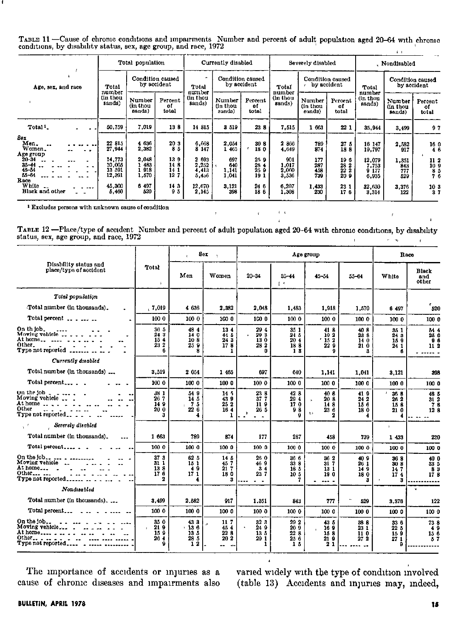| TABLE 11 -Cause of chronic conditions and impairments Number and percent of adult population aged 20-64 with chronic |  |
|----------------------------------------------------------------------------------------------------------------------|--|
| conditions, by disability status, sex, age group, and race, 1972                                                     |  |
|                                                                                                                      |  |

|                                                  |                                      | Total population             |                                 | Currently disabled               |                              |                                 |                                | Severely disabled            |                                                                | Nondisabled                      |                              |                                                        |
|--------------------------------------------------|--------------------------------------|------------------------------|---------------------------------|----------------------------------|------------------------------|---------------------------------|--------------------------------|------------------------------|----------------------------------------------------------------|----------------------------------|------------------------------|--------------------------------------------------------|
| Age, sex, and race                               | Total<br>number                      |                              | Condition caused<br>by accident | Total                            |                              | Condition cansed<br>by accident | Total                          | by accident                  | Condition caused                                               | Total                            |                              | Condition caused<br>by accident                        |
|                                                  | (in thou<br>sands)                   | Number<br>(in thou<br>sands) | Percent<br>of<br>total          | num ber<br>(in thou<br>sands)    | Number<br>(in thou<br>sands) | Percent<br>οf<br>total          | number<br>(in thou<br>sands)   | Number<br>(in thou<br>sands) | Percent<br>of<br>total                                         | number<br>(in thou<br>sands)     | Number<br>(in thou<br>sands) | Percent<br>٥f<br>total                                 |
| Total <sup>1</sup>                               | 50.759                               | 7,019                        | 138                             | 14 815                           | 3 519                        | 23 8                            | 7,515                          | 1 663                        | 221                                                            | 35.944                           | 3,499                        | 97                                                     |
| Sex<br>Men.<br>Women.<br>Age group               | 22 815<br>27,944                     | 4 636<br>2,382               | 20 3<br>85                      | 6.668<br>$8^{\degree}147$        | 2,054<br>1465                | 30 8<br>18 0                    | 2866<br>4,649                  | 789<br>874                   | 27 5<br>188                                                    | 16 147<br>19.797                 | 2,582<br>917                 | $\begin{smallmatrix}16&0\14&6\end{smallmatrix}$        |
| $20 - 34$<br>$35 - 44$<br>$45 - 54$<br>$55 - 64$ | 14,773<br>10.005<br>13 591<br>12,391 | 2.048<br>483<br>918<br>1,570 | 139<br>14 8<br>14 1<br>127      | 2 693<br>2.252<br>4,413<br>5,456 | 697<br>640<br>1,141<br>1,041 | 259<br>28 4<br>259<br>191       | 901<br>1.017<br>2,060<br>3,536 | 177<br>287<br>458<br>739     | 196<br>28 2<br>$\begin{array}{c} 22 & 2 \\ 20 & 9 \end{array}$ | 12.079<br>7.753<br>9177<br>6,935 | 1,351<br>843<br>777<br>529   | 11 2<br>10 <sub>9</sub><br>$\frac{8}{7}$ $\frac{5}{6}$ |
| Race<br>White<br>Black and other                 | 45,300<br>5,460                      | 6 497<br>520                 | 143<br>95                       | 12,670<br>2.145                  | 3,121<br>398                 | 24 6<br>186                     | 6,207<br>1,308                 | 1 433<br>230                 | 23 1<br>176                                                    | 32 630<br>3,314                  | 3,376<br>122                 | $\begin{smallmatrix}10&3\&3\end{smallmatrix}$          |

<sup>1</sup> Excludes persons with unknown cause of condition

TABLE 12 --Place/type of accident Number and percent of adult population aged 20-64 with chronic conditions, by disability status, sex, age group, and race, 1972  $\sim$   $t$ 

 $\mathcal{F}^{\mathcal{G}}_{\mathcal{G}}$  and  $\mathcal{G}^{\mathcal{G}}_{\mathcal{G}}$  and  $\mathcal{G}^{\mathcal{G}}_{\mathcal{G}}$  and  $\mathcal{G}^{\mathcal{G}}_{\mathcal{G}}$ 

 $\sim 4-4$ 

 $\mathbf{r}$ 

|                                                                                                                                                                                 |                                          | ×.                                       | Sex<br>$\mathcal{N}$                      |                                                    |                                              | Age group                             |                                 |                                  | Race                                 |
|---------------------------------------------------------------------------------------------------------------------------------------------------------------------------------|------------------------------------------|------------------------------------------|-------------------------------------------|----------------------------------------------------|----------------------------------------------|---------------------------------------|---------------------------------|----------------------------------|--------------------------------------|
| Disability status and<br>place/type of accident                                                                                                                                 | <b>Total</b><br>$\mathbf{r}$             | Men                                      | Women                                     | $20 - 34$                                          | $35 - 44$<br>$\mathbf{1}$                    | $45 - 54$                             | 55-64                           | White                            | Black<br>and<br>other                |
| Total population                                                                                                                                                                |                                          |                                          |                                           |                                                    |                                              |                                       |                                 |                                  |                                      |
| Total number (in thousands).                                                                                                                                                    | , 7,019                                  | 4 636                                    | 2.382                                     | 2.043                                              | 1.483                                        | 1.918                                 | 1.570                           | 6 497                            | 520                                  |
| Total percent                                                                                                                                                                   | 100 0                                    | 100 0                                    | 100 0                                     | 100 0                                              | 1000                                         | 100 0                                 | 100 0                           | 100 0                            | 100 0                                |
| Other.                                                                                                                                                                          | 36 5<br>24 3<br>154<br>232<br>6          | 484<br>14 0<br>108<br>259<br>8           | 134<br>44 5<br>243<br>178<br>1            | 29 4<br>29 3<br>130<br>28 2<br>0                   | 35 1<br>24 5<br>20 4<br>18 8<br>13           | 418<br>192<br>15 2<br>22 9<br>9       | 408<br>23 8<br>14 0<br>210<br>з | 85 1<br>24 3<br>159<br>24 1<br>6 | 54 4<br>25 0<br>96<br>112            |
| Currently disabled                                                                                                                                                              |                                          |                                          |                                           |                                                    |                                              |                                       |                                 |                                  |                                      |
| Total number (in thousands)                                                                                                                                                     | 3,519                                    | 2 0 54                                   | 1 465                                     | 697                                                | 640                                          | 1.141                                 | 1,041                           | 3.121                            | 398                                  |
| Total percent                                                                                                                                                                   | 100 0                                    | 100 0                                    | 100 0                                     | 1000                                               | 100 0                                        | 100 0                                 | 1000                            | 100 0                            | 100 0                                |
| On the job $     -$<br>Moving vehicle<br>At home $\ldots$ , $\ldots$<br>Other                                                                                                   | 38 I<br>26 7<br>149<br>20 <sub>0</sub>   | 54 9<br>14.5<br>75<br>226<br>4           | 14,7<br>439<br>252<br>164<br>1            | 23 8<br>377<br>119<br>26 5<br>$\ddot{\phantom{1}}$ | 42 8<br>294<br>17 0<br>98                    | 40 8<br>20B<br>148<br>236<br>t ><br>2 | 419<br>24 2<br>15 6<br>180      | 26 8<br>26 2<br>15 &<br>210      | 48 5<br>312<br>78<br>12 <sub>8</sub> |
| Severely disabled                                                                                                                                                               |                                          |                                          |                                           |                                                    |                                              |                                       |                                 | ×                                |                                      |
| Total number (in thousands).<br>---                                                                                                                                             | 1 663                                    | 789                                      | 874                                       | 177                                                | 287                                          | 458                                   | 739                             | 1 433                            | 220                                  |
|                                                                                                                                                                                 | 100 0                                    | 1000                                     | 100 0                                     | 1000                                               | 100 0                                        | 100 0                                 | 100 0                           | 100 0                            | 100 0                                |
| On the $\{ob_1, \ldots, \ldots, \ldots, \ldots, \ldots\}$<br>Moving vehicle $\ldots$ $\ldots$ $\ldots$<br>At home $\qquad \qquad$<br>Other<br>and a series<br>Type not reported | 37 <sub>3</sub><br>$31\,1$<br>138<br>176 | 62b<br>15 <sub>1</sub><br>49<br>171<br>4 | 14 <sub>5</sub><br>457<br>217<br>180<br>3 | 26 0<br>469<br>34<br>237                           | 36 6<br>33 8<br>185<br>10 5                  | 36.2<br>31 7<br>13 1<br>190<br>-      | 409<br>26 1<br>149<br>180<br>з  | 368<br>30 S<br>147<br>174<br>3   | 40 0<br>33 5<br>83<br>178            |
| Nondisabled                                                                                                                                                                     |                                          |                                          |                                           |                                                    |                                              |                                       |                                 |                                  |                                      |
| Total number (in thousands).                                                                                                                                                    | 3,499                                    | 2,582                                    | 917                                       | 1.351                                              | 843                                          | 777                                   | 529                             | 3.376                            | 122                                  |
| Total percent                                                                                                                                                                   | 100 0                                    | 1000                                     | 100 0                                     | 1000                                               | 100 0                                        | 1000                                  | 100 0                           | 100 0                            | 100 0                                |
| On the job<br>and and a complete comp<br>Type not reported                                                                                                                      | 35 0<br>219<br>15 9<br>26.4<br>9         | 43 3<br>.136<br>13.5<br>28 5<br>12       | 11 <sub>7</sub><br>454<br>22S<br>202<br>  | 32 3<br>24 9<br>135<br>29 1<br>1                   | 29 2<br>20 <sub>9</sub><br>22B<br>25 6<br>15 | 43 5<br>169<br>158<br>219<br>21       | 38 8<br>23 1<br>110<br>272      | 33 6<br>225<br>159<br>27 1<br>9  | 738<br>49<br>156<br>57               |

The importance of accidents or injuries as a cause of chronic diseases and impairments also

varied widely with the type of condition involved<br>(table 13) Accidents and injuries may, indeed,

 $\epsilon$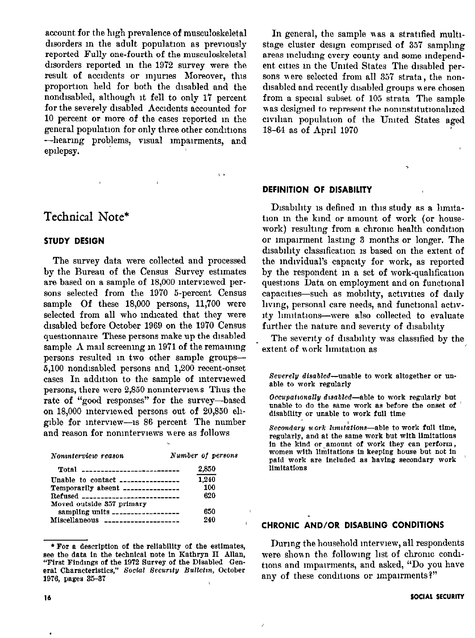account for the high prevalence of musculoskeletal disorders in the adult population as previously reported Fully one-fourth of the musculoskeletal disorders reported in the 1972 survey were the result of accidents or injuries Moreover, this proportion held for both the disabled and the nondisabled, although it fell to only 17 percent for the severely disabled Accidents accounted for 10 percent or more of the cases reported in the general population for only three other conditions -hearing problems, visual impairments, and epilepsy.

# Technical Note\*

#### **STUDY DESIGN**

The survey data were collected and processed by the Bureau of the Census Survey estimates are based on a sample of 18,000 interviewed persons selected from the 1970 5-percent Census sample Of these 18,000 persons, 11,700 were selected from all who indicated that they were disabled before October 1969 on the 1970 Census questionnaire These persons make up the disabled sample A mail screening in 1971 of the remaining persons resulted in two other sample groups-5,100 nondisabled persons and 1,200 recent-onset cases In addition to the sample of interviewed persons, there were 2,850 noninterviews Thus the rate of "good responses" for the survey-based on 18,000 interviewed persons out of 20,850 eligible for interview-is 86 percent The number and reason for noninterviews were as follows

| Noninterview reason                   | Number of persons |
|---------------------------------------|-------------------|
| $Total$ ----------------------------  | 2,850             |
| Unable to contact $\ldots$            | 1,240             |
| Temporarily absent ______________     | 100               |
| Refused _____________________________ | 620               |
| Moved outside 357 primary             |                   |
| sampling units ___________________    | 650               |
| Miscellaneous ____________________    | 240               |

\* For a description of the reliability of the estimates, see the data in the technical note in Kathryn H Allan, "First Findings of the 1972 Survey of the Disabled General Characteristics," Social Security Bulletin, October 1976. pages 35-37

In general, the sample was a stratified multistage cluster design comprised of 357 sampling areas including every county and some independent cities in the United States The disabled persons were selected from all 357 strata, the nondisabled and recently disabled groups were chosen from a special subset of 105 strata The sample was designed to represent the noninstitutionalized civilian population of the United States aged 18-64 as of April 1970

#### DEFINITION OF DISABILITY

Disability is defined in this study as a limitation in the kind or amount of work (or housework) resulting from a chronic health condition or impairment lasting 3 months or longer. The disability classification is based on the extent of the individual's capacity for work, as reported by the respondent in a set of work-qualification questions Data on employment and on functional capacities-such as mobility, activities of daily living, personal care needs, and functional activity limitations-were also collected to evaluate further the nature and severity of disability

The severity of disability was classified by the extent of work limitation as

Severely disabled--unable to work altogether or unable to work regularly

Occupationally disabled—able to work regularly but unable to do the same work as before the onset of disability or unable to work full time

Secondary work limitations—able to work full time, regularly, and at the same work but with limitations in the kind or amount of work they can perform, women with limitations in keeping house but not in paid work are included as having secondary work limitations

## CHRONIC AND/OR DISABLING CONDITIONS

During the household interview, all respondents were shown the following list of chronic conditions and impairments, and asked, "Do you have any of these conditions or impairments?"